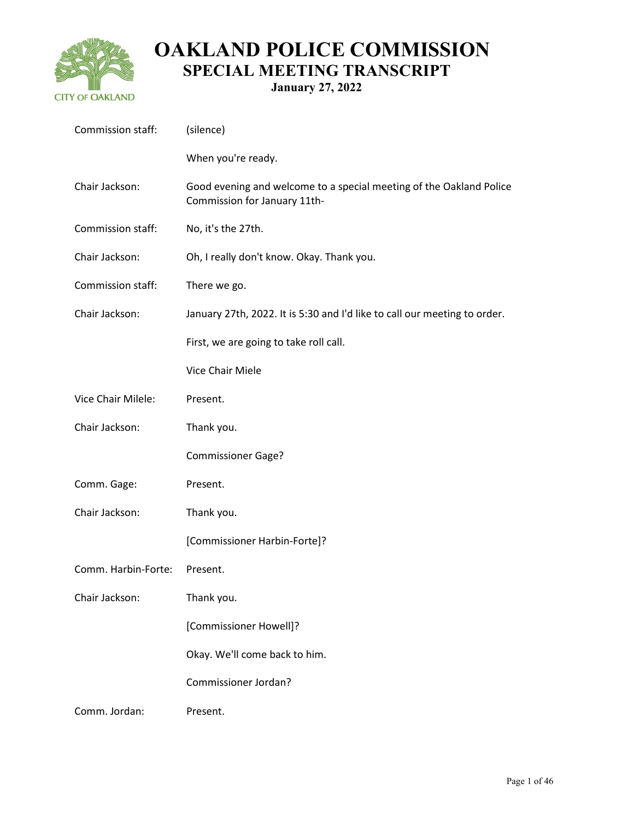

| Commission staff:   | (silence)                                                                                           |
|---------------------|-----------------------------------------------------------------------------------------------------|
|                     | When you're ready.                                                                                  |
| Chair Jackson:      | Good evening and welcome to a special meeting of the Oakland Police<br>Commission for January 11th- |
| Commission staff:   | No, it's the 27th.                                                                                  |
| Chair Jackson:      | Oh, I really don't know. Okay. Thank you.                                                           |
| Commission staff:   | There we go.                                                                                        |
| Chair Jackson:      | January 27th, 2022. It is 5:30 and I'd like to call our meeting to order.                           |
|                     | First, we are going to take roll call.                                                              |
|                     | Vice Chair Miele                                                                                    |
| Vice Chair Milele:  | Present.                                                                                            |
| Chair Jackson:      | Thank you.                                                                                          |
|                     | <b>Commissioner Gage?</b>                                                                           |
| Comm. Gage:         | Present.                                                                                            |
| Chair Jackson:      | Thank you.                                                                                          |
|                     | [Commissioner Harbin-Forte]?                                                                        |
| Comm. Harbin-Forte: | Present.                                                                                            |
| Chair Jackson:      | Thank you.                                                                                          |
|                     | [Commissioner Howell]?                                                                              |
|                     | Okay. We'll come back to him.                                                                       |
|                     | Commissioner Jordan?                                                                                |
| Comm. Jordan:       | Present.                                                                                            |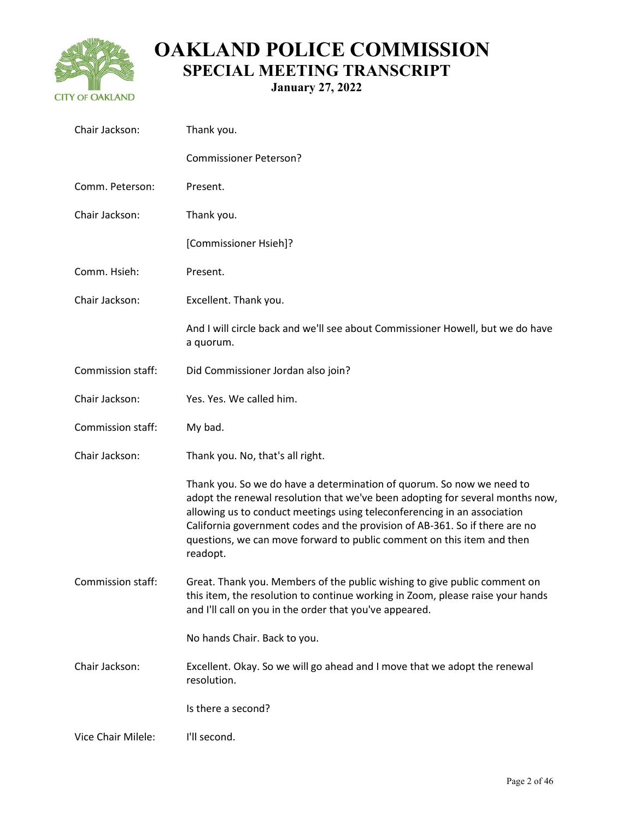

| Chair Jackson:     | Thank you.                                                                                                                                                                                                                                                                                                                                                                                              |
|--------------------|---------------------------------------------------------------------------------------------------------------------------------------------------------------------------------------------------------------------------------------------------------------------------------------------------------------------------------------------------------------------------------------------------------|
|                    | <b>Commissioner Peterson?</b>                                                                                                                                                                                                                                                                                                                                                                           |
| Comm. Peterson:    | Present.                                                                                                                                                                                                                                                                                                                                                                                                |
| Chair Jackson:     | Thank you.                                                                                                                                                                                                                                                                                                                                                                                              |
|                    | [Commissioner Hsieh]?                                                                                                                                                                                                                                                                                                                                                                                   |
| Comm. Hsieh:       | Present.                                                                                                                                                                                                                                                                                                                                                                                                |
| Chair Jackson:     | Excellent. Thank you.                                                                                                                                                                                                                                                                                                                                                                                   |
|                    | And I will circle back and we'll see about Commissioner Howell, but we do have<br>a quorum.                                                                                                                                                                                                                                                                                                             |
| Commission staff:  | Did Commissioner Jordan also join?                                                                                                                                                                                                                                                                                                                                                                      |
| Chair Jackson:     | Yes. Yes. We called him.                                                                                                                                                                                                                                                                                                                                                                                |
| Commission staff:  | My bad.                                                                                                                                                                                                                                                                                                                                                                                                 |
| Chair Jackson:     | Thank you. No, that's all right.                                                                                                                                                                                                                                                                                                                                                                        |
|                    | Thank you. So we do have a determination of quorum. So now we need to<br>adopt the renewal resolution that we've been adopting for several months now,<br>allowing us to conduct meetings using teleconferencing in an association<br>California government codes and the provision of AB-361. So if there are no<br>questions, we can move forward to public comment on this item and then<br>readopt. |
| Commission staff:  | Great. Thank you. Members of the public wishing to give public comment on<br>this item, the resolution to continue working in Zoom, please raise your hands<br>and I'll call on you in the order that you've appeared.                                                                                                                                                                                  |
|                    | No hands Chair. Back to you.                                                                                                                                                                                                                                                                                                                                                                            |
| Chair Jackson:     | Excellent. Okay. So we will go ahead and I move that we adopt the renewal<br>resolution.                                                                                                                                                                                                                                                                                                                |
|                    | Is there a second?                                                                                                                                                                                                                                                                                                                                                                                      |
| Vice Chair Milele: | I'll second.                                                                                                                                                                                                                                                                                                                                                                                            |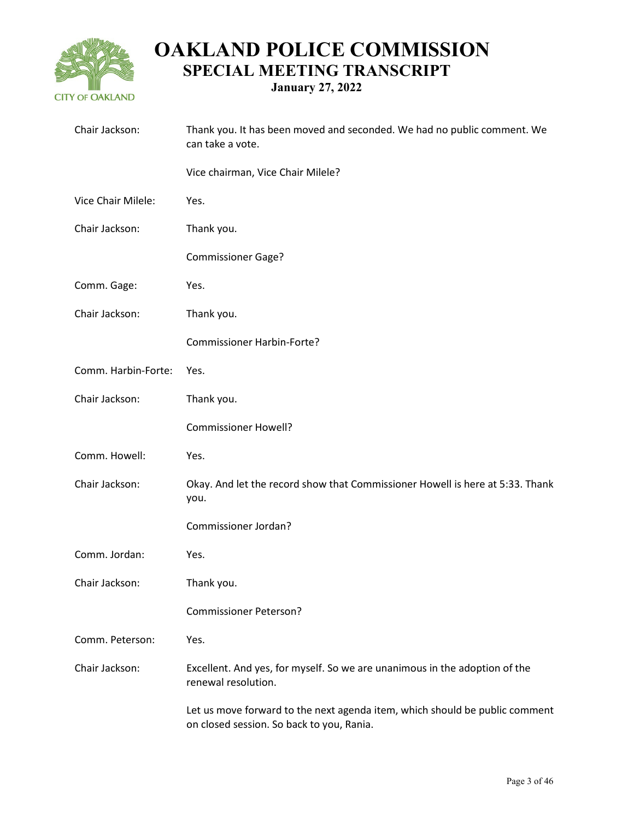

| Chair Jackson:      | Thank you. It has been moved and seconded. We had no public comment. We<br>can take a vote.                              |
|---------------------|--------------------------------------------------------------------------------------------------------------------------|
|                     | Vice chairman, Vice Chair Milele?                                                                                        |
| Vice Chair Milele:  | Yes.                                                                                                                     |
| Chair Jackson:      | Thank you.                                                                                                               |
|                     | <b>Commissioner Gage?</b>                                                                                                |
| Comm. Gage:         | Yes.                                                                                                                     |
| Chair Jackson:      | Thank you.                                                                                                               |
|                     | <b>Commissioner Harbin-Forte?</b>                                                                                        |
| Comm. Harbin-Forte: | Yes.                                                                                                                     |
| Chair Jackson:      | Thank you.                                                                                                               |
|                     | <b>Commissioner Howell?</b>                                                                                              |
| Comm. Howell:       | Yes.                                                                                                                     |
| Chair Jackson:      | Okay. And let the record show that Commissioner Howell is here at 5:33. Thank<br>you.                                    |
|                     | Commissioner Jordan?                                                                                                     |
| Comm. Jordan:       | Yes.                                                                                                                     |
| Chair Jackson:      | Thank you.                                                                                                               |
|                     | <b>Commissioner Peterson?</b>                                                                                            |
| Comm. Peterson:     | Yes.                                                                                                                     |
| Chair Jackson:      | Excellent. And yes, for myself. So we are unanimous in the adoption of the<br>renewal resolution.                        |
|                     | Let us move forward to the next agenda item, which should be public comment<br>on closed session. So back to you, Rania. |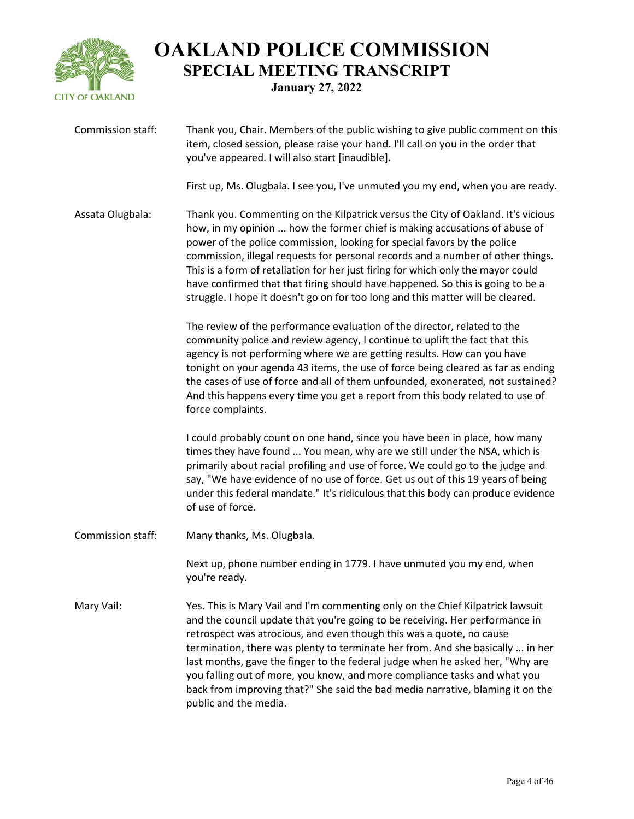

| Commission staff: | Thank you, Chair. Members of the public wishing to give public comment on this<br>item, closed session, please raise your hand. I'll call on you in the order that<br>you've appeared. I will also start [inaudible].                                                                                                                                                                                                                                                                                                                                                                             |
|-------------------|---------------------------------------------------------------------------------------------------------------------------------------------------------------------------------------------------------------------------------------------------------------------------------------------------------------------------------------------------------------------------------------------------------------------------------------------------------------------------------------------------------------------------------------------------------------------------------------------------|
|                   | First up, Ms. Olugbala. I see you, I've unmuted you my end, when you are ready.                                                                                                                                                                                                                                                                                                                                                                                                                                                                                                                   |
| Assata Olugbala:  | Thank you. Commenting on the Kilpatrick versus the City of Oakland. It's vicious<br>how, in my opinion  how the former chief is making accusations of abuse of<br>power of the police commission, looking for special favors by the police<br>commission, illegal requests for personal records and a number of other things.<br>This is a form of retaliation for her just firing for which only the mayor could<br>have confirmed that that firing should have happened. So this is going to be a<br>struggle. I hope it doesn't go on for too long and this matter will be cleared.            |
|                   | The review of the performance evaluation of the director, related to the<br>community police and review agency, I continue to uplift the fact that this<br>agency is not performing where we are getting results. How can you have<br>tonight on your agenda 43 items, the use of force being cleared as far as ending<br>the cases of use of force and all of them unfounded, exonerated, not sustained?<br>And this happens every time you get a report from this body related to use of<br>force complaints.                                                                                   |
|                   | I could probably count on one hand, since you have been in place, how many<br>times they have found  You mean, why are we still under the NSA, which is<br>primarily about racial profiling and use of force. We could go to the judge and<br>say, "We have evidence of no use of force. Get us out of this 19 years of being<br>under this federal mandate." It's ridiculous that this body can produce evidence<br>of use of force.                                                                                                                                                             |
| Commission staff: | Many thanks, Ms. Olugbala.                                                                                                                                                                                                                                                                                                                                                                                                                                                                                                                                                                        |
|                   | Next up, phone number ending in 1779. I have unmuted you my end, when<br>you're ready.                                                                                                                                                                                                                                                                                                                                                                                                                                                                                                            |
| Mary Vail:        | Yes. This is Mary Vail and I'm commenting only on the Chief Kilpatrick lawsuit<br>and the council update that you're going to be receiving. Her performance in<br>retrospect was atrocious, and even though this was a quote, no cause<br>termination, there was plenty to terminate her from. And she basically  in her<br>last months, gave the finger to the federal judge when he asked her, "Why are<br>you falling out of more, you know, and more compliance tasks and what you<br>back from improving that?" She said the bad media narrative, blaming it on the<br>public and the media. |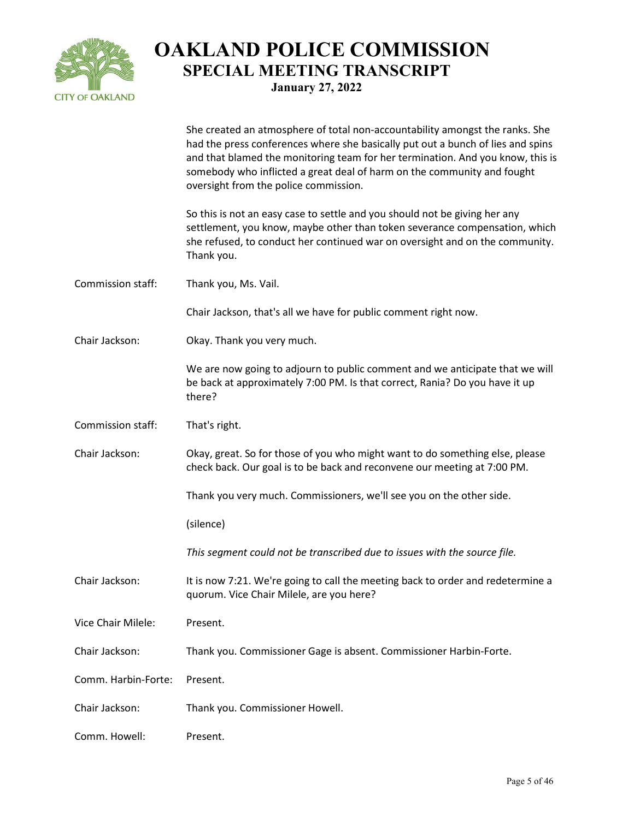

| <b>OAKLAND POLICE COMMISSION</b>  |
|-----------------------------------|
| <b>SPECIAL MEETING TRANSCRIPT</b> |
| <b>January 27, 2022</b>           |

|                     | She created an atmosphere of total non-accountability amongst the ranks. She<br>had the press conferences where she basically put out a bunch of lies and spins<br>and that blamed the monitoring team for her termination. And you know, this is<br>somebody who inflicted a great deal of harm on the community and fought<br>oversight from the police commission. |
|---------------------|-----------------------------------------------------------------------------------------------------------------------------------------------------------------------------------------------------------------------------------------------------------------------------------------------------------------------------------------------------------------------|
|                     | So this is not an easy case to settle and you should not be giving her any<br>settlement, you know, maybe other than token severance compensation, which<br>she refused, to conduct her continued war on oversight and on the community.<br>Thank you.                                                                                                                |
| Commission staff:   | Thank you, Ms. Vail.                                                                                                                                                                                                                                                                                                                                                  |
|                     | Chair Jackson, that's all we have for public comment right now.                                                                                                                                                                                                                                                                                                       |
| Chair Jackson:      | Okay. Thank you very much.                                                                                                                                                                                                                                                                                                                                            |
|                     | We are now going to adjourn to public comment and we anticipate that we will<br>be back at approximately 7:00 PM. Is that correct, Rania? Do you have it up<br>there?                                                                                                                                                                                                 |
| Commission staff:   | That's right.                                                                                                                                                                                                                                                                                                                                                         |
| Chair Jackson:      | Okay, great. So for those of you who might want to do something else, please<br>check back. Our goal is to be back and reconvene our meeting at 7:00 PM.                                                                                                                                                                                                              |
|                     | Thank you very much. Commissioners, we'll see you on the other side.                                                                                                                                                                                                                                                                                                  |
|                     | (silence)                                                                                                                                                                                                                                                                                                                                                             |
|                     | This segment could not be transcribed due to issues with the source file.                                                                                                                                                                                                                                                                                             |
| Chair Jackson:      | It is now 7:21. We're going to call the meeting back to order and redetermine a<br>quorum. Vice Chair Milele, are you here?                                                                                                                                                                                                                                           |
| Vice Chair Milele:  | Present.                                                                                                                                                                                                                                                                                                                                                              |
| Chair Jackson:      | Thank you. Commissioner Gage is absent. Commissioner Harbin-Forte.                                                                                                                                                                                                                                                                                                    |
| Comm. Harbin-Forte: | Present.                                                                                                                                                                                                                                                                                                                                                              |
| Chair Jackson:      | Thank you. Commissioner Howell.                                                                                                                                                                                                                                                                                                                                       |
| Comm. Howell:       | Present.                                                                                                                                                                                                                                                                                                                                                              |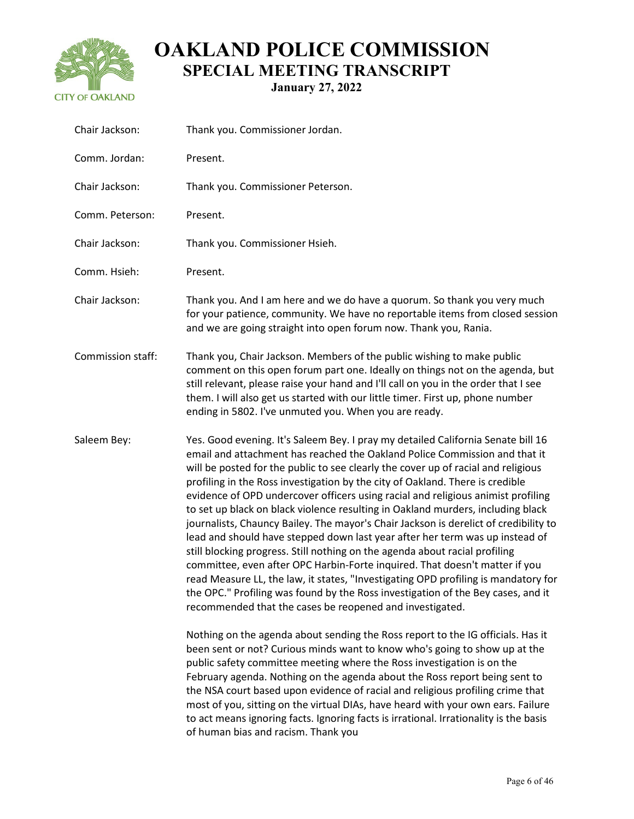

| Thank you. Commissioner Jordan.                                                                                                                                                                                                                                                                                                                                                                                                                                                                                                                                                                                                                                                                                                                                                                                                                                                                                                                                                                                                                                                                                                                                                                                                                                                                                                                                                                                                                                                                                                                                                                                                                                                 |
|---------------------------------------------------------------------------------------------------------------------------------------------------------------------------------------------------------------------------------------------------------------------------------------------------------------------------------------------------------------------------------------------------------------------------------------------------------------------------------------------------------------------------------------------------------------------------------------------------------------------------------------------------------------------------------------------------------------------------------------------------------------------------------------------------------------------------------------------------------------------------------------------------------------------------------------------------------------------------------------------------------------------------------------------------------------------------------------------------------------------------------------------------------------------------------------------------------------------------------------------------------------------------------------------------------------------------------------------------------------------------------------------------------------------------------------------------------------------------------------------------------------------------------------------------------------------------------------------------------------------------------------------------------------------------------|
| Present.                                                                                                                                                                                                                                                                                                                                                                                                                                                                                                                                                                                                                                                                                                                                                                                                                                                                                                                                                                                                                                                                                                                                                                                                                                                                                                                                                                                                                                                                                                                                                                                                                                                                        |
| Thank you. Commissioner Peterson.                                                                                                                                                                                                                                                                                                                                                                                                                                                                                                                                                                                                                                                                                                                                                                                                                                                                                                                                                                                                                                                                                                                                                                                                                                                                                                                                                                                                                                                                                                                                                                                                                                               |
| Present.                                                                                                                                                                                                                                                                                                                                                                                                                                                                                                                                                                                                                                                                                                                                                                                                                                                                                                                                                                                                                                                                                                                                                                                                                                                                                                                                                                                                                                                                                                                                                                                                                                                                        |
| Thank you. Commissioner Hsieh.                                                                                                                                                                                                                                                                                                                                                                                                                                                                                                                                                                                                                                                                                                                                                                                                                                                                                                                                                                                                                                                                                                                                                                                                                                                                                                                                                                                                                                                                                                                                                                                                                                                  |
| Present.                                                                                                                                                                                                                                                                                                                                                                                                                                                                                                                                                                                                                                                                                                                                                                                                                                                                                                                                                                                                                                                                                                                                                                                                                                                                                                                                                                                                                                                                                                                                                                                                                                                                        |
| Thank you. And I am here and we do have a quorum. So thank you very much<br>for your patience, community. We have no reportable items from closed session<br>and we are going straight into open forum now. Thank you, Rania.                                                                                                                                                                                                                                                                                                                                                                                                                                                                                                                                                                                                                                                                                                                                                                                                                                                                                                                                                                                                                                                                                                                                                                                                                                                                                                                                                                                                                                                   |
| Thank you, Chair Jackson. Members of the public wishing to make public<br>comment on this open forum part one. Ideally on things not on the agenda, but<br>still relevant, please raise your hand and I'll call on you in the order that I see<br>them. I will also get us started with our little timer. First up, phone number<br>ending in 5802. I've unmuted you. When you are ready.                                                                                                                                                                                                                                                                                                                                                                                                                                                                                                                                                                                                                                                                                                                                                                                                                                                                                                                                                                                                                                                                                                                                                                                                                                                                                       |
| Yes. Good evening. It's Saleem Bey. I pray my detailed California Senate bill 16<br>email and attachment has reached the Oakland Police Commission and that it<br>will be posted for the public to see clearly the cover up of racial and religious<br>profiling in the Ross investigation by the city of Oakland. There is credible<br>evidence of OPD undercover officers using racial and religious animist profiling<br>to set up black on black violence resulting in Oakland murders, including black<br>journalists, Chauncy Bailey. The mayor's Chair Jackson is derelict of credibility to<br>lead and should have stepped down last year after her term was up instead of<br>still blocking progress. Still nothing on the agenda about racial profiling<br>committee, even after OPC Harbin-Forte inquired. That doesn't matter if you<br>read Measure LL, the law, it states, "Investigating OPD profiling is mandatory for<br>the OPC." Profiling was found by the Ross investigation of the Bey cases, and it<br>recommended that the cases be reopened and investigated.<br>Nothing on the agenda about sending the Ross report to the IG officials. Has it<br>been sent or not? Curious minds want to know who's going to show up at the<br>public safety committee meeting where the Ross investigation is on the<br>February agenda. Nothing on the agenda about the Ross report being sent to<br>the NSA court based upon evidence of racial and religious profiling crime that<br>most of you, sitting on the virtual DIAs, have heard with your own ears. Failure<br>to act means ignoring facts. Ignoring facts is irrational. Irrationality is the basis |
|                                                                                                                                                                                                                                                                                                                                                                                                                                                                                                                                                                                                                                                                                                                                                                                                                                                                                                                                                                                                                                                                                                                                                                                                                                                                                                                                                                                                                                                                                                                                                                                                                                                                                 |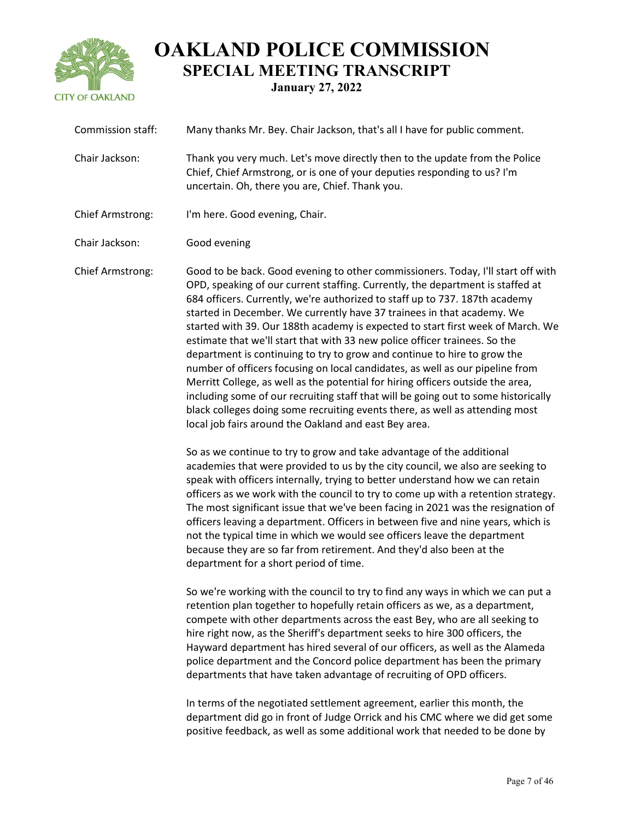

| Commission staff: | Many thanks Mr. Bey. Chair Jackson, that's all I have for public comment.                                                                                                                                                                                                                                                                                                                                                                                                                                                                                                                                                                                                                                                                                                                                                                                                                                                                                                   |
|-------------------|-----------------------------------------------------------------------------------------------------------------------------------------------------------------------------------------------------------------------------------------------------------------------------------------------------------------------------------------------------------------------------------------------------------------------------------------------------------------------------------------------------------------------------------------------------------------------------------------------------------------------------------------------------------------------------------------------------------------------------------------------------------------------------------------------------------------------------------------------------------------------------------------------------------------------------------------------------------------------------|
| Chair Jackson:    | Thank you very much. Let's move directly then to the update from the Police<br>Chief, Chief Armstrong, or is one of your deputies responding to us? I'm<br>uncertain. Oh, there you are, Chief. Thank you.                                                                                                                                                                                                                                                                                                                                                                                                                                                                                                                                                                                                                                                                                                                                                                  |
| Chief Armstrong:  | I'm here. Good evening, Chair.                                                                                                                                                                                                                                                                                                                                                                                                                                                                                                                                                                                                                                                                                                                                                                                                                                                                                                                                              |
| Chair Jackson:    | Good evening                                                                                                                                                                                                                                                                                                                                                                                                                                                                                                                                                                                                                                                                                                                                                                                                                                                                                                                                                                |
| Chief Armstrong:  | Good to be back. Good evening to other commissioners. Today, I'll start off with<br>OPD, speaking of our current staffing. Currently, the department is staffed at<br>684 officers. Currently, we're authorized to staff up to 737. 187th academy<br>started in December. We currently have 37 trainees in that academy. We<br>started with 39. Our 188th academy is expected to start first week of March. We<br>estimate that we'll start that with 33 new police officer trainees. So the<br>department is continuing to try to grow and continue to hire to grow the<br>number of officers focusing on local candidates, as well as our pipeline from<br>Merritt College, as well as the potential for hiring officers outside the area,<br>including some of our recruiting staff that will be going out to some historically<br>black colleges doing some recruiting events there, as well as attending most<br>local job fairs around the Oakland and east Bey area. |
|                   | So as we continue to try to grow and take advantage of the additional<br>academies that were provided to us by the city council, we also are seeking to<br>speak with officers internally, trying to better understand how we can retain<br>officers as we work with the council to try to come up with a retention strategy.<br>The most significant issue that we've been facing in 2021 was the resignation of<br>officers leaving a department. Officers in between five and nine years, which is<br>not the typical time in which we would see officers leave the department<br>because they are so far from retirement. And they'd also been at the<br>department for a short period of time.                                                                                                                                                                                                                                                                         |
|                   | So we're working with the council to try to find any ways in which we can put a<br>retention plan together to hopefully retain officers as we, as a department,<br>compete with other departments across the east Bey, who are all seeking to<br>hire right now, as the Sheriff's department seeks to hire 300 officers, the<br>Hayward department has hired several of our officers, as well as the Alameda<br>police department and the Concord police department has been the primary<br>departments that have taken advantage of recruiting of OPD officers.                                                                                                                                                                                                                                                                                                                                                                                                            |
|                   | In terms of the negotiated settlement agreement, earlier this month, the<br>department did go in front of Judge Orrick and his CMC where we did get some<br>positive feedback, as well as some additional work that needed to be done by                                                                                                                                                                                                                                                                                                                                                                                                                                                                                                                                                                                                                                                                                                                                    |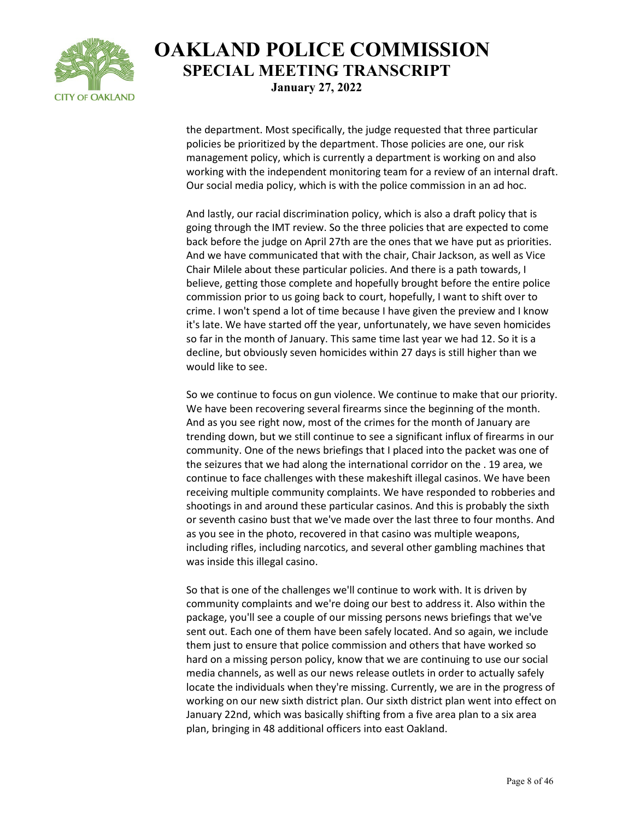

the department. Most specifically, the judge requested that three particular policies be prioritized by the department. Those policies are one, our risk management policy, which is currently a department is working on and also working with the independent monitoring team for a review of an internal draft. Our social media policy, which is with the police commission in an ad hoc.

And lastly, our racial discrimination policy, which is also a draft policy that is going through the IMT review. So the three policies that are expected to come back before the judge on April 27th are the ones that we have put as priorities. And we have communicated that with the chair, Chair Jackson, as well as Vice Chair Milele about these particular policies. And there is a path towards, I believe, getting those complete and hopefully brought before the entire police commission prior to us going back to court, hopefully, I want to shift over to crime. I won't spend a lot of time because I have given the preview and I know it's late. We have started off the year, unfortunately, we have seven homicides so far in the month of January. This same time last year we had 12. So it is a decline, but obviously seven homicides within 27 days is still higher than we would like to see.

So we continue to focus on gun violence. We continue to make that our priority. We have been recovering several firearms since the beginning of the month. And as you see right now, most of the crimes for the month of January are trending down, but we still continue to see a significant influx of firearms in our community. One of the news briefings that I placed into the packet was one of the seizures that we had along the international corridor on the . 19 area, we continue to face challenges with these makeshift illegal casinos. We have been receiving multiple community complaints. We have responded to robberies and shootings in and around these particular casinos. And this is probably the sixth or seventh casino bust that we've made over the last three to four months. And as you see in the photo, recovered in that casino was multiple weapons, including rifles, including narcotics, and several other gambling machines that was inside this illegal casino.

So that is one of the challenges we'll continue to work with. It is driven by community complaints and we're doing our best to address it. Also within the package, you'll see a couple of our missing persons news briefings that we've sent out. Each one of them have been safely located. And so again, we include them just to ensure that police commission and others that have worked so hard on a missing person policy, know that we are continuing to use our social media channels, as well as our news release outlets in order to actually safely locate the individuals when they're missing. Currently, we are in the progress of working on our new sixth district plan. Our sixth district plan went into effect on January 22nd, which was basically shifting from a five area plan to a six area plan, bringing in 48 additional officers into east Oakland.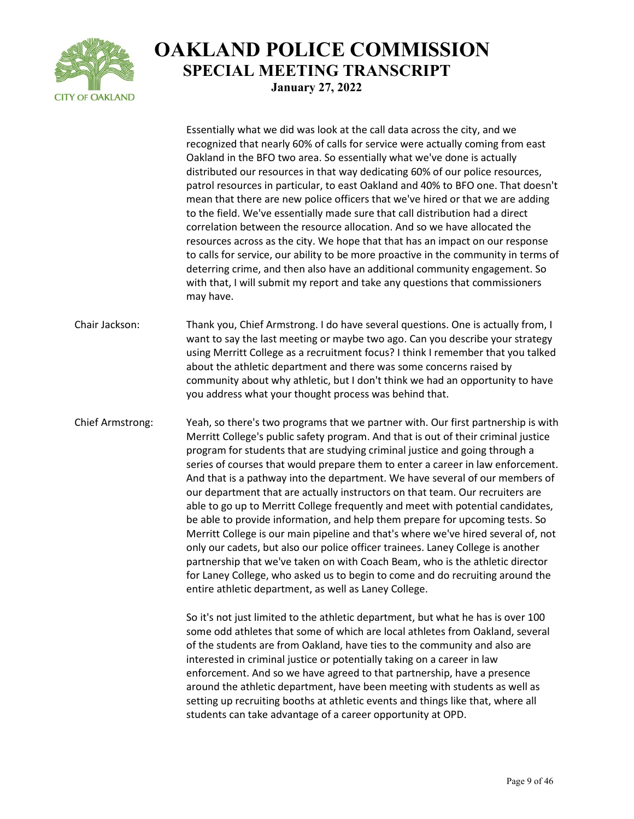

Essentially what we did was look at the call data across the city, and we recognized that nearly 60% of calls for service were actually coming from east Oakland in the BFO two area. So essentially what we've done is actually distributed our resources in that way dedicating 60% of our police resources, patrol resources in particular, to east Oakland and 40% to BFO one. That doesn't mean that there are new police officers that we've hired or that we are adding to the field. We've essentially made sure that call distribution had a direct correlation between the resource allocation. And so we have allocated the resources across as the city. We hope that that has an impact on our response to calls for service, our ability to be more proactive in the community in terms of deterring crime, and then also have an additional community engagement. So with that, I will submit my report and take any questions that commissioners may have. Chair Jackson: Thank you, Chief Armstrong. I do have several questions. One is actually from, I want to say the last meeting or maybe two ago. Can you describe your strategy using Merritt College as a recruitment focus? I think I remember that you talked about the athletic department and there was some concerns raised by community about why athletic, but I don't think we had an opportunity to have you address what your thought process was behind that. Chief Armstrong: Yeah, so there's two programs that we partner with. Our first partnership is with Merritt College's public safety program. And that is out of their criminal justice program for students that are studying criminal justice and going through a series of courses that would prepare them to enter a career in law enforcement. And that is a pathway into the department. We have several of our members of our department that are actually instructors on that team. Our recruiters are able to go up to Merritt College frequently and meet with potential candidates, be able to provide information, and help them prepare for upcoming tests. So Merritt College is our main pipeline and that's where we've hired several of, not only our cadets, but also our police officer trainees. Laney College is another partnership that we've taken on with Coach Beam, who is the athletic director for Laney College, who asked us to begin to come and do recruiting around the entire athletic department, as well as Laney College. So it's not just limited to the athletic department, but what he has is over 100 some odd athletes that some of which are local athletes from Oakland, several of the students are from Oakland, have ties to the community and also are interested in criminal justice or potentially taking on a career in law enforcement. And so we have agreed to that partnership, have a presence around the athletic department, have been meeting with students as well as

setting up recruiting booths at athletic events and things like that, where all

students can take advantage of a career opportunity at OPD.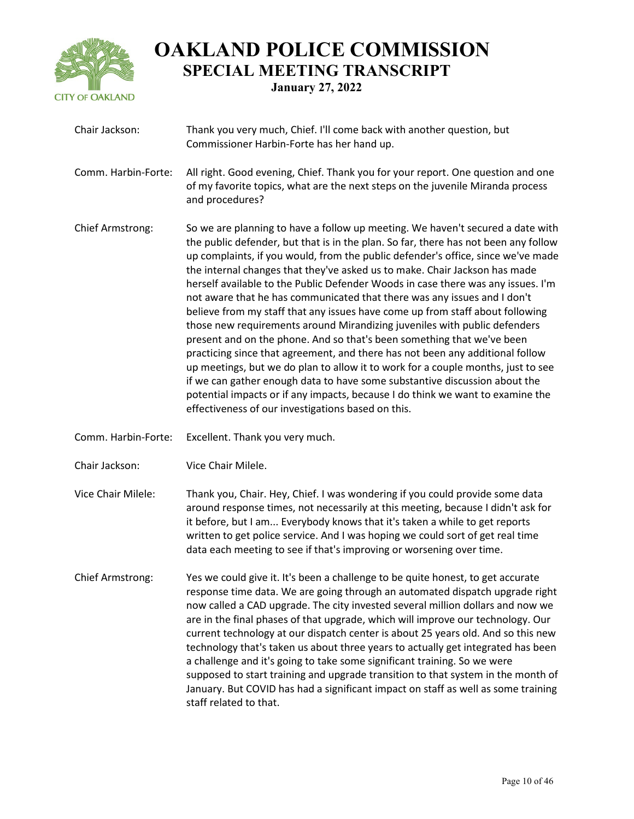

| Chair Jackson:      | Thank you very much, Chief. I'll come back with another question, but<br>Commissioner Harbin-Forte has her hand up.                                                                                                                                                                                                                                                                                                                                                                                                                                                                                                                                                                                                                                                                                                                                                                                                                                                                                                                                                                                                                        |
|---------------------|--------------------------------------------------------------------------------------------------------------------------------------------------------------------------------------------------------------------------------------------------------------------------------------------------------------------------------------------------------------------------------------------------------------------------------------------------------------------------------------------------------------------------------------------------------------------------------------------------------------------------------------------------------------------------------------------------------------------------------------------------------------------------------------------------------------------------------------------------------------------------------------------------------------------------------------------------------------------------------------------------------------------------------------------------------------------------------------------------------------------------------------------|
| Comm. Harbin-Forte: | All right. Good evening, Chief. Thank you for your report. One question and one<br>of my favorite topics, what are the next steps on the juvenile Miranda process<br>and procedures?                                                                                                                                                                                                                                                                                                                                                                                                                                                                                                                                                                                                                                                                                                                                                                                                                                                                                                                                                       |
| Chief Armstrong:    | So we are planning to have a follow up meeting. We haven't secured a date with<br>the public defender, but that is in the plan. So far, there has not been any follow<br>up complaints, if you would, from the public defender's office, since we've made<br>the internal changes that they've asked us to make. Chair Jackson has made<br>herself available to the Public Defender Woods in case there was any issues. I'm<br>not aware that he has communicated that there was any issues and I don't<br>believe from my staff that any issues have come up from staff about following<br>those new requirements around Mirandizing juveniles with public defenders<br>present and on the phone. And so that's been something that we've been<br>practicing since that agreement, and there has not been any additional follow<br>up meetings, but we do plan to allow it to work for a couple months, just to see<br>if we can gather enough data to have some substantive discussion about the<br>potential impacts or if any impacts, because I do think we want to examine the<br>effectiveness of our investigations based on this. |
| Comm. Harbin-Forte: | Excellent. Thank you very much.                                                                                                                                                                                                                                                                                                                                                                                                                                                                                                                                                                                                                                                                                                                                                                                                                                                                                                                                                                                                                                                                                                            |
| Chair Jackson:      | Vice Chair Milele.                                                                                                                                                                                                                                                                                                                                                                                                                                                                                                                                                                                                                                                                                                                                                                                                                                                                                                                                                                                                                                                                                                                         |
| Vice Chair Milele:  | Thank you, Chair. Hey, Chief. I was wondering if you could provide some data<br>around response times, not necessarily at this meeting, because I didn't ask for<br>it before, but I am Everybody knows that it's taken a while to get reports<br>written to get police service. And I was hoping we could sort of get real time<br>data each meeting to see if that's improving or worsening over time.                                                                                                                                                                                                                                                                                                                                                                                                                                                                                                                                                                                                                                                                                                                                   |
| Chief Armstrong:    | Yes we could give it. It's been a challenge to be quite honest, to get accurate<br>response time data. We are going through an automated dispatch upgrade right<br>now called a CAD upgrade. The city invested several million dollars and now we<br>are in the final phases of that upgrade, which will improve our technology. Our<br>current technology at our dispatch center is about 25 years old. And so this new<br>technology that's taken us about three years to actually get integrated has been<br>a challenge and it's going to take some significant training. So we were<br>supposed to start training and upgrade transition to that system in the month of<br>January. But COVID has had a significant impact on staff as well as some training<br>staff related to that.                                                                                                                                                                                                                                                                                                                                                |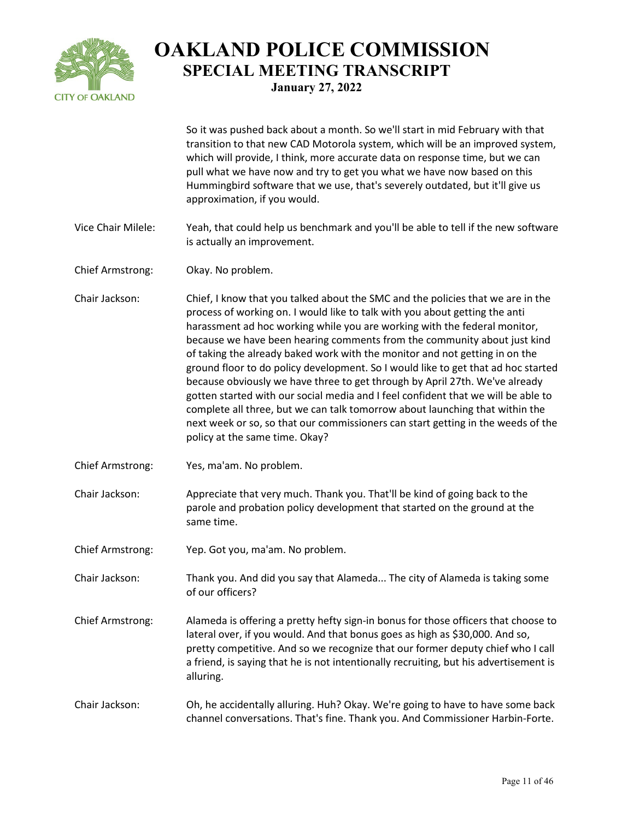

So it was pushed back about a month. So we'll start in mid February with that transition to that new CAD Motorola system, which will be an improved system, which will provide, I think, more accurate data on response time, but we can pull what we have now and try to get you what we have now based on this Hummingbird software that we use, that's severely outdated, but it'll give us approximation, if you would.

- Vice Chair Milele: Yeah, that could help us benchmark and you'll be able to tell if the new software is actually an improvement.
- Chief Armstrong: Okay. No problem.
- Chair Jackson: Chief, I know that you talked about the SMC and the policies that we are in the process of working on. I would like to talk with you about getting the anti harassment ad hoc working while you are working with the federal monitor, because we have been hearing comments from the community about just kind of taking the already baked work with the monitor and not getting in on the ground floor to do policy development. So I would like to get that ad hoc started because obviously we have three to get through by April 27th. We've already gotten started with our social media and I feel confident that we will be able to complete all three, but we can talk tomorrow about launching that within the next week or so, so that our commissioners can start getting in the weeds of the policy at the same time. Okay?
- Chief Armstrong: Yes, ma'am. No problem.
- Chair Jackson: Appreciate that very much. Thank you. That'll be kind of going back to the parole and probation policy development that started on the ground at the same time.
- Chief Armstrong: Yep. Got you, ma'am. No problem.
- Chair Jackson: Thank you. And did you say that Alameda... The city of Alameda is taking some of our officers?
- Chief Armstrong: Alameda is offering a pretty hefty sign-in bonus for those officers that choose to lateral over, if you would. And that bonus goes as high as \$30,000. And so, pretty competitive. And so we recognize that our former deputy chief who I call a friend, is saying that he is not intentionally recruiting, but his advertisement is alluring.
- Chair Jackson: Oh, he accidentally alluring. Huh? Okay. We're going to have to have some back channel conversations. That's fine. Thank you. And Commissioner Harbin-Forte.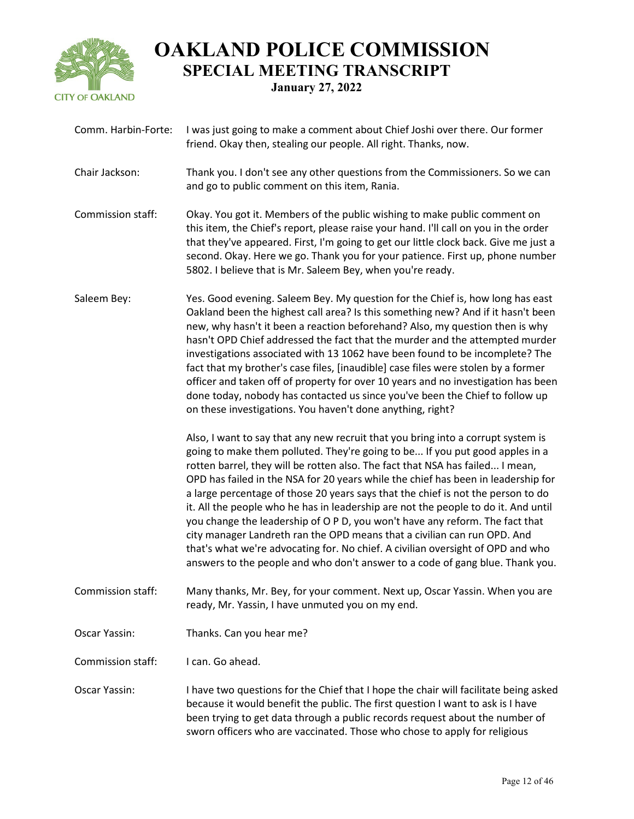

| Comm. Harbin-Forte: | I was just going to make a comment about Chief Joshi over there. Our former<br>friend. Okay then, stealing our people. All right. Thanks, now.                                                                                                                                                                                                                                                                                                                                                                                                                                                                                                                                                                                                                                                                                                   |
|---------------------|--------------------------------------------------------------------------------------------------------------------------------------------------------------------------------------------------------------------------------------------------------------------------------------------------------------------------------------------------------------------------------------------------------------------------------------------------------------------------------------------------------------------------------------------------------------------------------------------------------------------------------------------------------------------------------------------------------------------------------------------------------------------------------------------------------------------------------------------------|
| Chair Jackson:      | Thank you. I don't see any other questions from the Commissioners. So we can<br>and go to public comment on this item, Rania.                                                                                                                                                                                                                                                                                                                                                                                                                                                                                                                                                                                                                                                                                                                    |
| Commission staff:   | Okay. You got it. Members of the public wishing to make public comment on<br>this item, the Chief's report, please raise your hand. I'll call on you in the order<br>that they've appeared. First, I'm going to get our little clock back. Give me just a<br>second. Okay. Here we go. Thank you for your patience. First up, phone number<br>5802. I believe that is Mr. Saleem Bey, when you're ready.                                                                                                                                                                                                                                                                                                                                                                                                                                         |
| Saleem Bey:         | Yes. Good evening. Saleem Bey. My question for the Chief is, how long has east<br>Oakland been the highest call area? Is this something new? And if it hasn't been<br>new, why hasn't it been a reaction beforehand? Also, my question then is why<br>hasn't OPD Chief addressed the fact that the murder and the attempted murder<br>investigations associated with 13 1062 have been found to be incomplete? The<br>fact that my brother's case files, [inaudible] case files were stolen by a former<br>officer and taken off of property for over 10 years and no investigation has been<br>done today, nobody has contacted us since you've been the Chief to follow up<br>on these investigations. You haven't done anything, right?                                                                                                       |
|                     | Also, I want to say that any new recruit that you bring into a corrupt system is<br>going to make them polluted. They're going to be If you put good apples in a<br>rotten barrel, they will be rotten also. The fact that NSA has failed I mean,<br>OPD has failed in the NSA for 20 years while the chief has been in leadership for<br>a large percentage of those 20 years says that the chief is not the person to do<br>it. All the people who he has in leadership are not the people to do it. And until<br>you change the leadership of O P D, you won't have any reform. The fact that<br>city manager Landreth ran the OPD means that a civilian can run OPD. And<br>that's what we're advocating for. No chief. A civilian oversight of OPD and who<br>answers to the people and who don't answer to a code of gang blue. Thank you. |
| Commission staff:   | Many thanks, Mr. Bey, for your comment. Next up, Oscar Yassin. When you are<br>ready, Mr. Yassin, I have unmuted you on my end.                                                                                                                                                                                                                                                                                                                                                                                                                                                                                                                                                                                                                                                                                                                  |
| Oscar Yassin:       | Thanks. Can you hear me?                                                                                                                                                                                                                                                                                                                                                                                                                                                                                                                                                                                                                                                                                                                                                                                                                         |
| Commission staff:   | I can. Go ahead.                                                                                                                                                                                                                                                                                                                                                                                                                                                                                                                                                                                                                                                                                                                                                                                                                                 |
| Oscar Yassin:       | I have two questions for the Chief that I hope the chair will facilitate being asked<br>because it would benefit the public. The first question I want to ask is I have<br>been trying to get data through a public records request about the number of<br>sworn officers who are vaccinated. Those who chose to apply for religious                                                                                                                                                                                                                                                                                                                                                                                                                                                                                                             |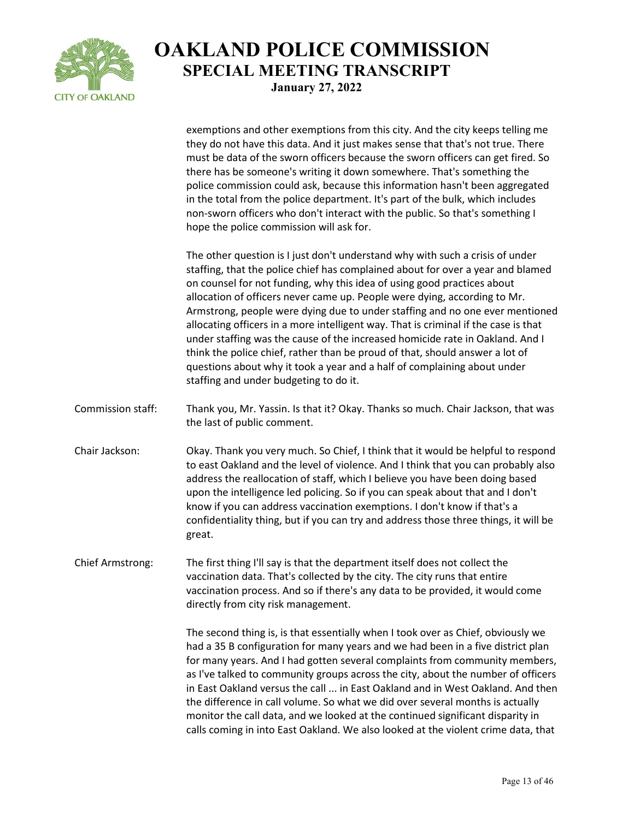

exemptions and other exemptions from this city. And the city keeps telling me they do not have this data. And it just makes sense that that's not true. There must be data of the sworn officers because the sworn officers can get fired. So there has be someone's writing it down somewhere. That's something the police commission could ask, because this information hasn't been aggregated in the total from the police department. It's part of the bulk, which includes non-sworn officers who don't interact with the public. So that's something I hope the police commission will ask for.

The other question is I just don't understand why with such a crisis of under staffing, that the police chief has complained about for over a year and blamed on counsel for not funding, why this idea of using good practices about allocation of officers never came up. People were dying, according to Mr. Armstrong, people were dying due to under staffing and no one ever mentioned allocating officers in a more intelligent way. That is criminal if the case is that under staffing was the cause of the increased homicide rate in Oakland. And I think the police chief, rather than be proud of that, should answer a lot of questions about why it took a year and a half of complaining about under staffing and under budgeting to do it.

- Commission staff: Thank you, Mr. Yassin. Is that it? Okay. Thanks so much. Chair Jackson, that was the last of public comment.
- Chair Jackson: Okay. Thank you very much. So Chief, I think that it would be helpful to respond to east Oakland and the level of violence. And I think that you can probably also address the reallocation of staff, which I believe you have been doing based upon the intelligence led policing. So if you can speak about that and I don't know if you can address vaccination exemptions. I don't know if that's a confidentiality thing, but if you can try and address those three things, it will be great.
- Chief Armstrong: The first thing I'll say is that the department itself does not collect the vaccination data. That's collected by the city. The city runs that entire vaccination process. And so if there's any data to be provided, it would come directly from city risk management.

The second thing is, is that essentially when I took over as Chief, obviously we had a 35 B configuration for many years and we had been in a five district plan for many years. And I had gotten several complaints from community members, as I've talked to community groups across the city, about the number of officers in East Oakland versus the call ... in East Oakland and in West Oakland. And then the difference in call volume. So what we did over several months is actually monitor the call data, and we looked at the continued significant disparity in calls coming in into East Oakland. We also looked at the violent crime data, that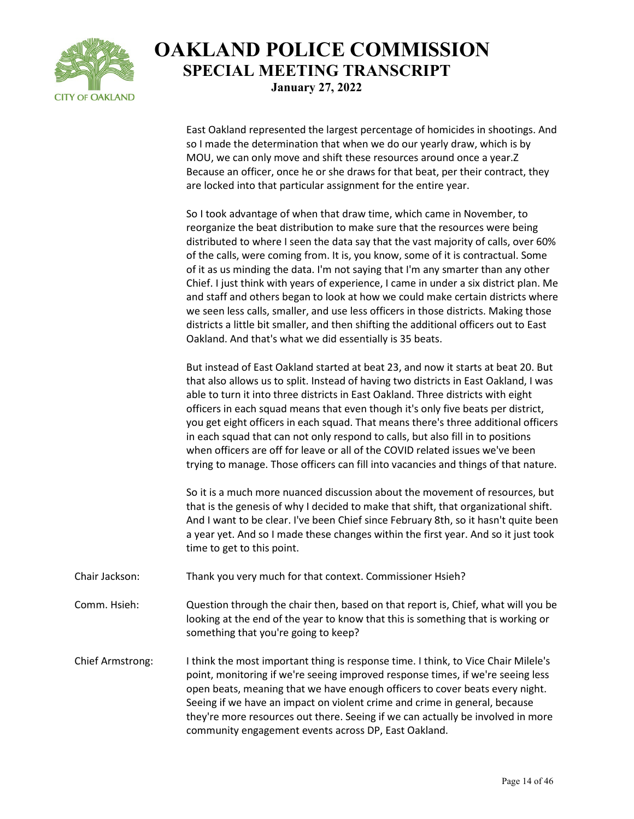

East Oakland represented the largest percentage of homicides in shootings. And so I made the determination that when we do our yearly draw, which is by MOU, we can only move and shift these resources around once a year.Z Because an officer, once he or she draws for that beat, per their contract, they are locked into that particular assignment for the entire year.

So I took advantage of when that draw time, which came in November, to reorganize the beat distribution to make sure that the resources were being distributed to where I seen the data say that the vast majority of calls, over 60% of the calls, were coming from. It is, you know, some of it is contractual. Some of it as us minding the data. I'm not saying that I'm any smarter than any other Chief. I just think with years of experience, I came in under a six district plan. Me and staff and others began to look at how we could make certain districts where we seen less calls, smaller, and use less officers in those districts. Making those districts a little bit smaller, and then shifting the additional officers out to East Oakland. And that's what we did essentially is 35 beats.

But instead of East Oakland started at beat 23, and now it starts at beat 20. But that also allows us to split. Instead of having two districts in East Oakland, I was able to turn it into three districts in East Oakland. Three districts with eight officers in each squad means that even though it's only five beats per district, you get eight officers in each squad. That means there's three additional officers in each squad that can not only respond to calls, but also fill in to positions when officers are off for leave or all of the COVID related issues we've been trying to manage. Those officers can fill into vacancies and things of that nature.

So it is a much more nuanced discussion about the movement of resources, but that is the genesis of why I decided to make that shift, that organizational shift. And I want to be clear. I've been Chief since February 8th, so it hasn't quite been a year yet. And so I made these changes within the first year. And so it just took time to get to this point.

- Chair Jackson: Thank you very much for that context. Commissioner Hsieh?
- Comm. Hsieh: Question through the chair then, based on that report is, Chief, what will you be looking at the end of the year to know that this is something that is working or something that you're going to keep?
- Chief Armstrong: I think the most important thing is response time. I think, to Vice Chair Milele's point, monitoring if we're seeing improved response times, if we're seeing less open beats, meaning that we have enough officers to cover beats every night. Seeing if we have an impact on violent crime and crime in general, because they're more resources out there. Seeing if we can actually be involved in more community engagement events across DP, East Oakland.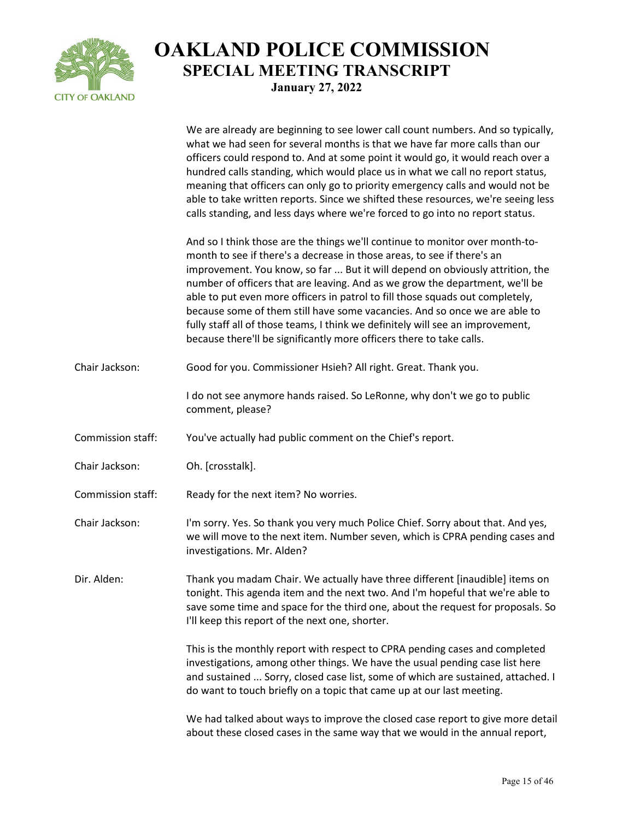

|                   | We are already are beginning to see lower call count numbers. And so typically,<br>what we had seen for several months is that we have far more calls than our<br>officers could respond to. And at some point it would go, it would reach over a<br>hundred calls standing, which would place us in what we call no report status,<br>meaning that officers can only go to priority emergency calls and would not be<br>able to take written reports. Since we shifted these resources, we're seeing less<br>calls standing, and less days where we're forced to go into no report status.                                                       |
|-------------------|---------------------------------------------------------------------------------------------------------------------------------------------------------------------------------------------------------------------------------------------------------------------------------------------------------------------------------------------------------------------------------------------------------------------------------------------------------------------------------------------------------------------------------------------------------------------------------------------------------------------------------------------------|
|                   | And so I think those are the things we'll continue to monitor over month-to-<br>month to see if there's a decrease in those areas, to see if there's an<br>improvement. You know, so far  But it will depend on obviously attrition, the<br>number of officers that are leaving. And as we grow the department, we'll be<br>able to put even more officers in patrol to fill those squads out completely,<br>because some of them still have some vacancies. And so once we are able to<br>fully staff all of those teams, I think we definitely will see an improvement,<br>because there'll be significantly more officers there to take calls. |
| Chair Jackson:    | Good for you. Commissioner Hsieh? All right. Great. Thank you.                                                                                                                                                                                                                                                                                                                                                                                                                                                                                                                                                                                    |
|                   | I do not see anymore hands raised. So LeRonne, why don't we go to public<br>comment, please?                                                                                                                                                                                                                                                                                                                                                                                                                                                                                                                                                      |
| Commission staff: | You've actually had public comment on the Chief's report.                                                                                                                                                                                                                                                                                                                                                                                                                                                                                                                                                                                         |
| Chair Jackson:    | Oh. [crosstalk].                                                                                                                                                                                                                                                                                                                                                                                                                                                                                                                                                                                                                                  |
| Commission staff: | Ready for the next item? No worries.                                                                                                                                                                                                                                                                                                                                                                                                                                                                                                                                                                                                              |
| Chair Jackson:    | I'm sorry. Yes. So thank you very much Police Chief. Sorry about that. And yes,<br>we will move to the next item. Number seven, which is CPRA pending cases and<br>investigations. Mr. Alden?                                                                                                                                                                                                                                                                                                                                                                                                                                                     |
| Dir. Alden:       | Thank you madam Chair. We actually have three different [inaudible] items on<br>tonight. This agenda item and the next two. And I'm hopeful that we're able to<br>save some time and space for the third one, about the request for proposals. So<br>I'll keep this report of the next one, shorter.                                                                                                                                                                                                                                                                                                                                              |
|                   | This is the monthly report with respect to CPRA pending cases and completed<br>investigations, among other things. We have the usual pending case list here<br>and sustained  Sorry, closed case list, some of which are sustained, attached. I<br>do want to touch briefly on a topic that came up at our last meeting.                                                                                                                                                                                                                                                                                                                          |
|                   | We had talked about ways to improve the closed case report to give more detail<br>about these closed cases in the same way that we would in the annual report,                                                                                                                                                                                                                                                                                                                                                                                                                                                                                    |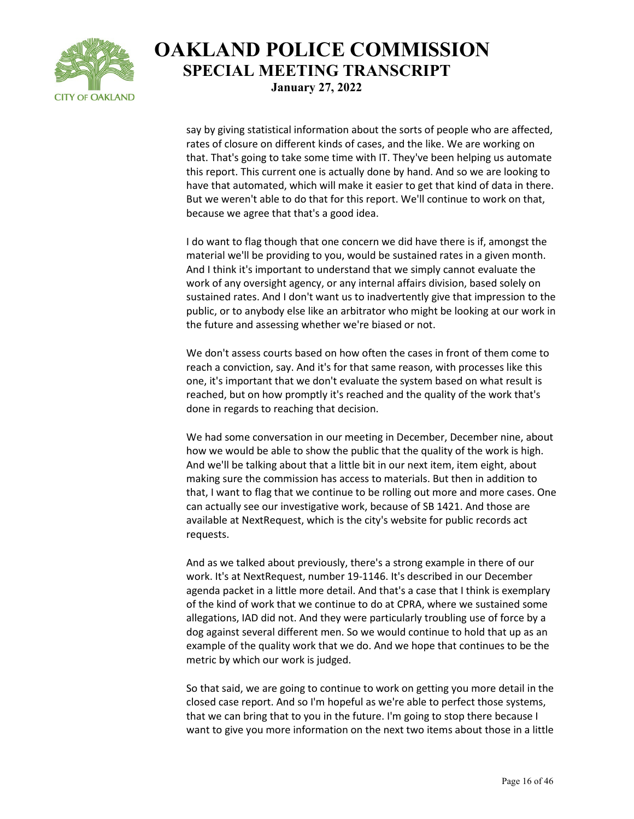

say by giving statistical information about the sorts of people who are affected, rates of closure on different kinds of cases, and the like. We are working on that. That's going to take some time with IT. They've been helping us automate this report. This current one is actually done by hand. And so we are looking to have that automated, which will make it easier to get that kind of data in there. But we weren't able to do that for this report. We'll continue to work on that, because we agree that that's a good idea.

I do want to flag though that one concern we did have there is if, amongst the material we'll be providing to you, would be sustained rates in a given month. And I think it's important to understand that we simply cannot evaluate the work of any oversight agency, or any internal affairs division, based solely on sustained rates. And I don't want us to inadvertently give that impression to the public, or to anybody else like an arbitrator who might be looking at our work in the future and assessing whether we're biased or not.

We don't assess courts based on how often the cases in front of them come to reach a conviction, say. And it's for that same reason, with processes like this one, it's important that we don't evaluate the system based on what result is reached, but on how promptly it's reached and the quality of the work that's done in regards to reaching that decision.

We had some conversation in our meeting in December, December nine, about how we would be able to show the public that the quality of the work is high. And we'll be talking about that a little bit in our next item, item eight, about making sure the commission has access to materials. But then in addition to that, I want to flag that we continue to be rolling out more and more cases. One can actually see our investigative work, because of SB 1421. And those are available at NextRequest, which is the city's website for public records act requests.

And as we talked about previously, there's a strong example in there of our work. It's at NextRequest, number 19-1146. It's described in our December agenda packet in a little more detail. And that's a case that I think is exemplary of the kind of work that we continue to do at CPRA, where we sustained some allegations, IAD did not. And they were particularly troubling use of force by a dog against several different men. So we would continue to hold that up as an example of the quality work that we do. And we hope that continues to be the metric by which our work is judged.

So that said, we are going to continue to work on getting you more detail in the closed case report. And so I'm hopeful as we're able to perfect those systems, that we can bring that to you in the future. I'm going to stop there because I want to give you more information on the next two items about those in a little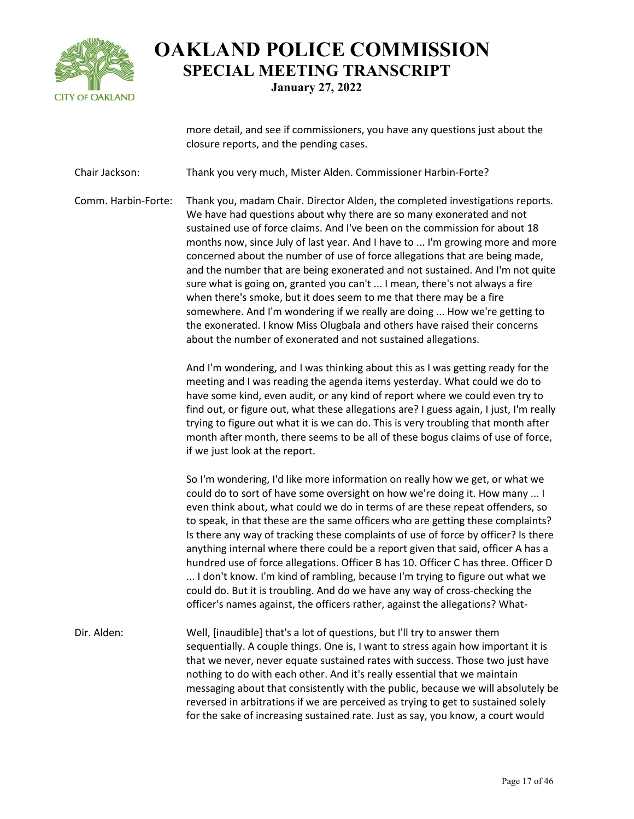

more detail, and see if commissioners, you have any questions just about the closure reports, and the pending cases.

Chair Jackson: Thank you very much, Mister Alden. Commissioner Harbin-Forte?

Comm. Harbin-Forte: Thank you, madam Chair. Director Alden, the completed investigations reports. We have had questions about why there are so many exonerated and not sustained use of force claims. And I've been on the commission for about 18 months now, since July of last year. And I have to ... I'm growing more and more concerned about the number of use of force allegations that are being made, and the number that are being exonerated and not sustained. And I'm not quite sure what is going on, granted you can't ... I mean, there's not always a fire when there's smoke, but it does seem to me that there may be a fire somewhere. And I'm wondering if we really are doing ... How we're getting to the exonerated. I know Miss Olugbala and others have raised their concerns about the number of exonerated and not sustained allegations.

> And I'm wondering, and I was thinking about this as I was getting ready for the meeting and I was reading the agenda items yesterday. What could we do to have some kind, even audit, or any kind of report where we could even try to find out, or figure out, what these allegations are? I guess again, I just, I'm really trying to figure out what it is we can do. This is very troubling that month after month after month, there seems to be all of these bogus claims of use of force, if we just look at the report.

> So I'm wondering, I'd like more information on really how we get, or what we could do to sort of have some oversight on how we're doing it. How many ... I even think about, what could we do in terms of are these repeat offenders, so to speak, in that these are the same officers who are getting these complaints? Is there any way of tracking these complaints of use of force by officer? Is there anything internal where there could be a report given that said, officer A has a hundred use of force allegations. Officer B has 10. Officer C has three. Officer D ... I don't know. I'm kind of rambling, because I'm trying to figure out what we could do. But it is troubling. And do we have any way of cross-checking the officer's names against, the officers rather, against the allegations? What-

Dir. Alden: Well, [inaudible] that's a lot of questions, but I'll try to answer them sequentially. A couple things. One is, I want to stress again how important it is that we never, never equate sustained rates with success. Those two just have nothing to do with each other. And it's really essential that we maintain messaging about that consistently with the public, because we will absolutely be reversed in arbitrations if we are perceived as trying to get to sustained solely for the sake of increasing sustained rate. Just as say, you know, a court would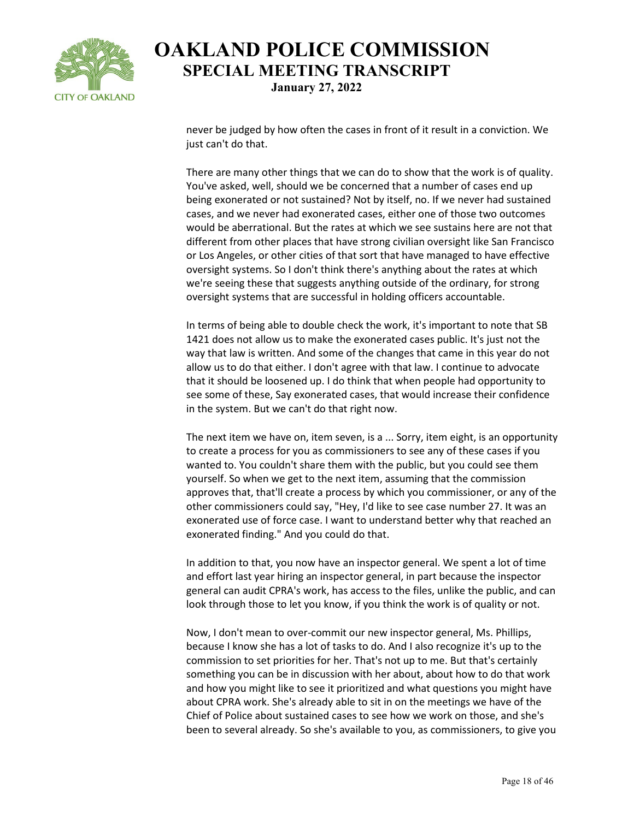

never be judged by how often the cases in front of it result in a conviction. We just can't do that.

There are many other things that we can do to show that the work is of quality. You've asked, well, should we be concerned that a number of cases end up being exonerated or not sustained? Not by itself, no. If we never had sustained cases, and we never had exonerated cases, either one of those two outcomes would be aberrational. But the rates at which we see sustains here are not that different from other places that have strong civilian oversight like San Francisco or Los Angeles, or other cities of that sort that have managed to have effective oversight systems. So I don't think there's anything about the rates at which we're seeing these that suggests anything outside of the ordinary, for strong oversight systems that are successful in holding officers accountable.

In terms of being able to double check the work, it's important to note that SB 1421 does not allow us to make the exonerated cases public. It's just not the way that law is written. And some of the changes that came in this year do not allow us to do that either. I don't agree with that law. I continue to advocate that it should be loosened up. I do think that when people had opportunity to see some of these, Say exonerated cases, that would increase their confidence in the system. But we can't do that right now.

The next item we have on, item seven, is a ... Sorry, item eight, is an opportunity to create a process for you as commissioners to see any of these cases if you wanted to. You couldn't share them with the public, but you could see them yourself. So when we get to the next item, assuming that the commission approves that, that'll create a process by which you commissioner, or any of the other commissioners could say, "Hey, I'd like to see case number 27. It was an exonerated use of force case. I want to understand better why that reached an exonerated finding." And you could do that.

In addition to that, you now have an inspector general. We spent a lot of time and effort last year hiring an inspector general, in part because the inspector general can audit CPRA's work, has access to the files, unlike the public, and can look through those to let you know, if you think the work is of quality or not.

Now, I don't mean to over-commit our new inspector general, Ms. Phillips, because I know she has a lot of tasks to do. And I also recognize it's up to the commission to set priorities for her. That's not up to me. But that's certainly something you can be in discussion with her about, about how to do that work and how you might like to see it prioritized and what questions you might have about CPRA work. She's already able to sit in on the meetings we have of the Chief of Police about sustained cases to see how we work on those, and she's been to several already. So she's available to you, as commissioners, to give you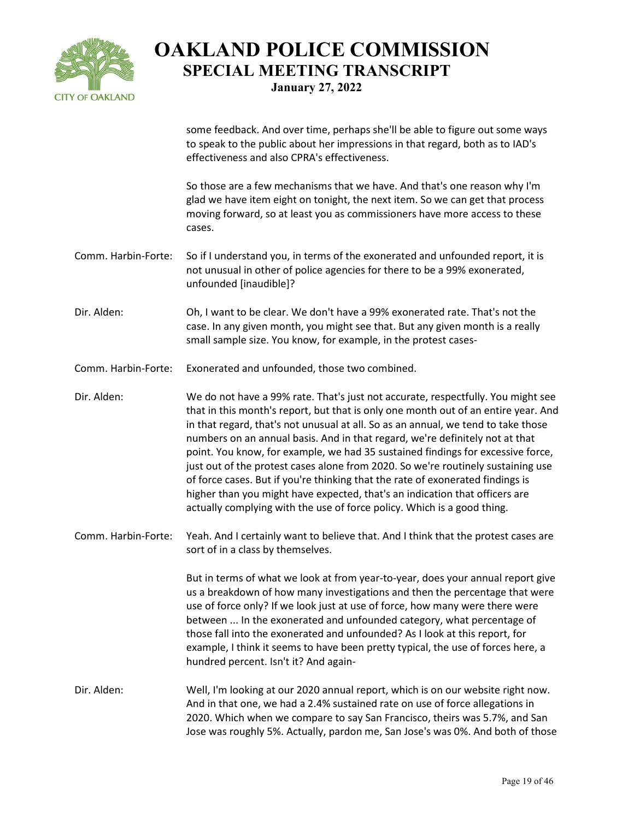

some feedback. And over time, perhaps she'll be able to figure out some ways to speak to the public about her impressions in that regard, both as to IAD's effectiveness and also CPRA's effectiveness.

So those are a few mechanisms that we have. And that's one reason why I'm glad we have item eight on tonight, the next item. So we can get that process moving forward, so at least you as commissioners have more access to these cases.

- Comm. Harbin-Forte: So if I understand you, in terms of the exonerated and unfounded report, it is not unusual in other of police agencies for there to be a 99% exonerated, unfounded [inaudible]?
- Dir. Alden: Oh, I want to be clear. We don't have a 99% exonerated rate. That's not the case. In any given month, you might see that. But any given month is a really small sample size. You know, for example, in the protest cases-
- Comm. Harbin-Forte: Exonerated and unfounded, those two combined.
- Dir. Alden: We do not have a 99% rate. That's just not accurate, respectfully. You might see that in this month's report, but that is only one month out of an entire year. And in that regard, that's not unusual at all. So as an annual, we tend to take those numbers on an annual basis. And in that regard, we're definitely not at that point. You know, for example, we had 35 sustained findings for excessive force, just out of the protest cases alone from 2020. So we're routinely sustaining use of force cases. But if you're thinking that the rate of exonerated findings is higher than you might have expected, that's an indication that officers are actually complying with the use of force policy. Which is a good thing.
- Comm. Harbin-Forte: Yeah. And I certainly want to believe that. And I think that the protest cases are sort of in a class by themselves.

But in terms of what we look at from year-to-year, does your annual report give us a breakdown of how many investigations and then the percentage that were use of force only? If we look just at use of force, how many were there were between ... In the exonerated and unfounded category, what percentage of those fall into the exonerated and unfounded? As I look at this report, for example, I think it seems to have been pretty typical, the use of forces here, a hundred percent. Isn't it? And again-

Dir. Alden: Well, I'm looking at our 2020 annual report, which is on our website right now. And in that one, we had a 2.4% sustained rate on use of force allegations in 2020. Which when we compare to say San Francisco, theirs was 5.7%, and San Jose was roughly 5%. Actually, pardon me, San Jose's was 0%. And both of those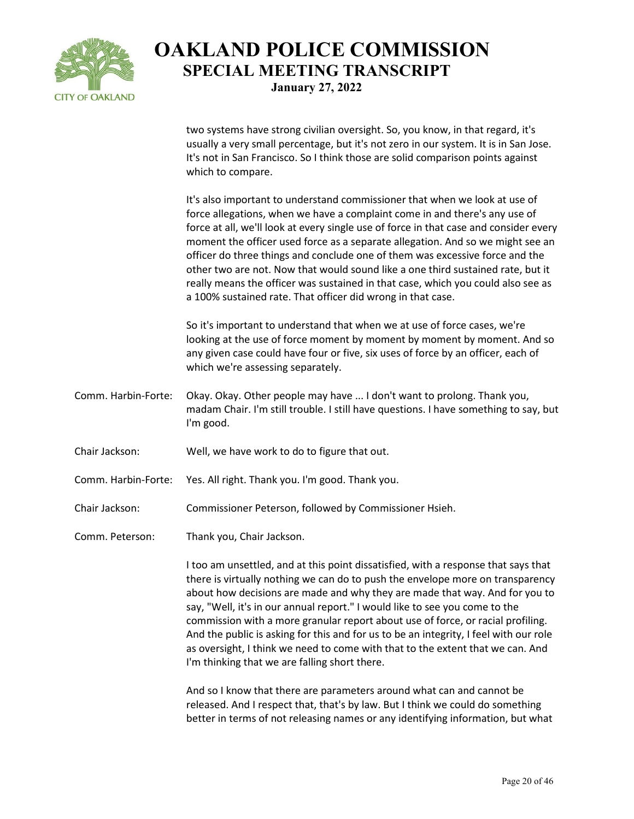

two systems have strong civilian oversight. So, you know, in that regard, it's usually a very small percentage, but it's not zero in our system. It is in San Jose. It's not in San Francisco. So I think those are solid comparison points against which to compare.

It's also important to understand commissioner that when we look at use of force allegations, when we have a complaint come in and there's any use of force at all, we'll look at every single use of force in that case and consider every moment the officer used force as a separate allegation. And so we might see an officer do three things and conclude one of them was excessive force and the other two are not. Now that would sound like a one third sustained rate, but it really means the officer was sustained in that case, which you could also see as a 100% sustained rate. That officer did wrong in that case.

So it's important to understand that when we at use of force cases, we're looking at the use of force moment by moment by moment by moment. And so any given case could have four or five, six uses of force by an officer, each of which we're assessing separately.

- Comm. Harbin-Forte: Okay. Okay. Other people may have ... I don't want to prolong. Thank you, madam Chair. I'm still trouble. I still have questions. I have something to say, but I'm good.
- Chair Jackson: Well, we have work to do to figure that out.
- Comm. Harbin-Forte: Yes. All right. Thank you. I'm good. Thank you.
- Chair Jackson: Commissioner Peterson, followed by Commissioner Hsieh.

Comm. Peterson: Thank you, Chair Jackson.

I too am unsettled, and at this point dissatisfied, with a response that says that there is virtually nothing we can do to push the envelope more on transparency about how decisions are made and why they are made that way. And for you to say, "Well, it's in our annual report." I would like to see you come to the commission with a more granular report about use of force, or racial profiling. And the public is asking for this and for us to be an integrity, I feel with our role as oversight, I think we need to come with that to the extent that we can. And I'm thinking that we are falling short there.

And so I know that there are parameters around what can and cannot be released. And I respect that, that's by law. But I think we could do something better in terms of not releasing names or any identifying information, but what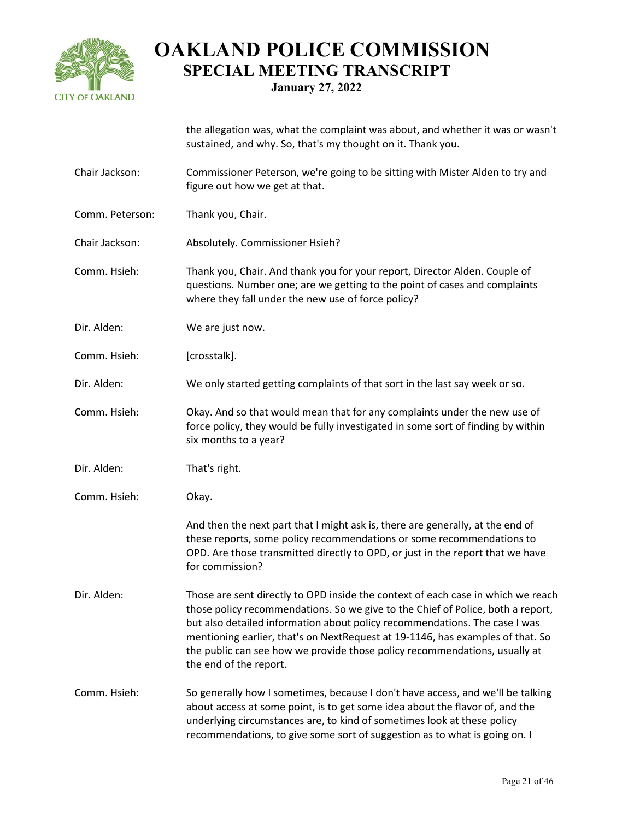

**January 27, 2022**

the allegation was, what the complaint was about, and whether it was or wasn't sustained, and why. So, that's my thought on it. Thank you.

- Chair Jackson: Commissioner Peterson, we're going to be sitting with Mister Alden to try and figure out how we get at that.
- Comm. Peterson: Thank you, Chair.
- Chair Jackson: Absolutely. Commissioner Hsieh?

Comm. Hsieh: Thank you, Chair. And thank you for your report, Director Alden. Couple of questions. Number one; are we getting to the point of cases and complaints where they fall under the new use of force policy?

- Dir. Alden: We are just now.
- Comm. Hsieh: [crosstalk].
- Dir. Alden: We only started getting complaints of that sort in the last say week or so.
- Comm. Hsieh: Okay. And so that would mean that for any complaints under the new use of force policy, they would be fully investigated in some sort of finding by within six months to a year?
- Dir. Alden: That's right.
- Comm. Hsieh: Okay.

And then the next part that I might ask is, there are generally, at the end of these reports, some policy recommendations or some recommendations to OPD. Are those transmitted directly to OPD, or just in the report that we have for commission?

- Dir. Alden: Those are sent directly to OPD inside the context of each case in which we reach those policy recommendations. So we give to the Chief of Police, both a report, but also detailed information about policy recommendations. The case I was mentioning earlier, that's on NextRequest at 19-1146, has examples of that. So the public can see how we provide those policy recommendations, usually at the end of the report.
- Comm. Hsieh: So generally how I sometimes, because I don't have access, and we'll be talking about access at some point, is to get some idea about the flavor of, and the underlying circumstances are, to kind of sometimes look at these policy recommendations, to give some sort of suggestion as to what is going on. I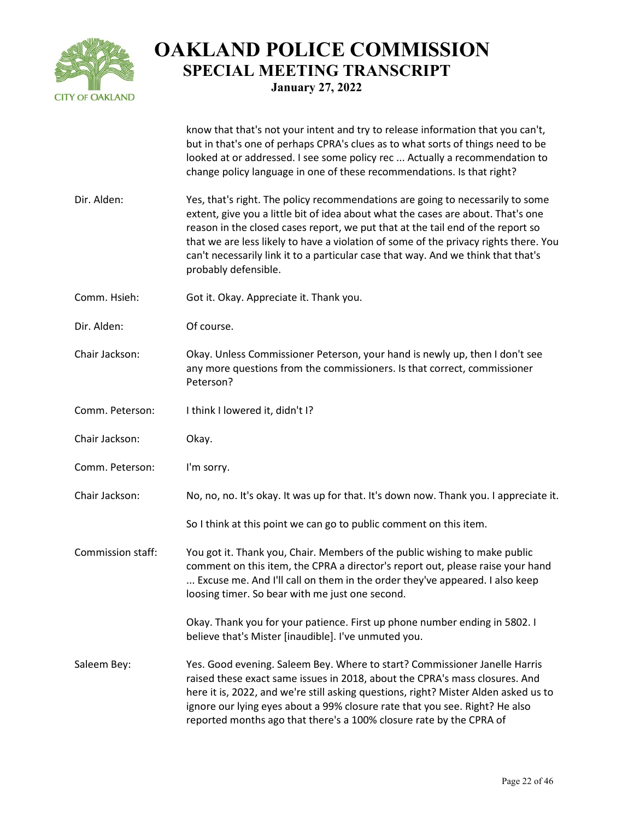

|                   | know that that's not your intent and try to release information that you can't,<br>but in that's one of perhaps CPRA's clues as to what sorts of things need to be<br>looked at or addressed. I see some policy rec  Actually a recommendation to<br>change policy language in one of these recommendations. Is that right?                                                                                                                                |
|-------------------|------------------------------------------------------------------------------------------------------------------------------------------------------------------------------------------------------------------------------------------------------------------------------------------------------------------------------------------------------------------------------------------------------------------------------------------------------------|
| Dir. Alden:       | Yes, that's right. The policy recommendations are going to necessarily to some<br>extent, give you a little bit of idea about what the cases are about. That's one<br>reason in the closed cases report, we put that at the tail end of the report so<br>that we are less likely to have a violation of some of the privacy rights there. You<br>can't necessarily link it to a particular case that way. And we think that that's<br>probably defensible. |
| Comm. Hsieh:      | Got it. Okay. Appreciate it. Thank you.                                                                                                                                                                                                                                                                                                                                                                                                                    |
| Dir. Alden:       | Of course.                                                                                                                                                                                                                                                                                                                                                                                                                                                 |
| Chair Jackson:    | Okay. Unless Commissioner Peterson, your hand is newly up, then I don't see<br>any more questions from the commissioners. Is that correct, commissioner<br>Peterson?                                                                                                                                                                                                                                                                                       |
| Comm. Peterson:   | I think I lowered it, didn't I?                                                                                                                                                                                                                                                                                                                                                                                                                            |
| Chair Jackson:    | Okay.                                                                                                                                                                                                                                                                                                                                                                                                                                                      |
| Comm. Peterson:   | I'm sorry.                                                                                                                                                                                                                                                                                                                                                                                                                                                 |
| Chair Jackson:    | No, no, no. It's okay. It was up for that. It's down now. Thank you. I appreciate it.                                                                                                                                                                                                                                                                                                                                                                      |
|                   | So I think at this point we can go to public comment on this item.                                                                                                                                                                                                                                                                                                                                                                                         |
| Commission staff: | You got it. Thank you, Chair. Members of the public wishing to make public<br>comment on this item, the CPRA a director's report out, please raise your hand<br>Excuse me. And I'll call on them in the order they've appeared. I also keep<br>loosing timer. So bear with me just one second.                                                                                                                                                             |
|                   | Okay. Thank you for your patience. First up phone number ending in 5802. I<br>believe that's Mister [inaudible]. I've unmuted you.                                                                                                                                                                                                                                                                                                                         |
| Saleem Bey:       | Yes. Good evening. Saleem Bey. Where to start? Commissioner Janelle Harris<br>raised these exact same issues in 2018, about the CPRA's mass closures. And<br>here it is, 2022, and we're still asking questions, right? Mister Alden asked us to<br>ignore our lying eyes about a 99% closure rate that you see. Right? He also<br>reported months ago that there's a 100% closure rate by the CPRA of                                                     |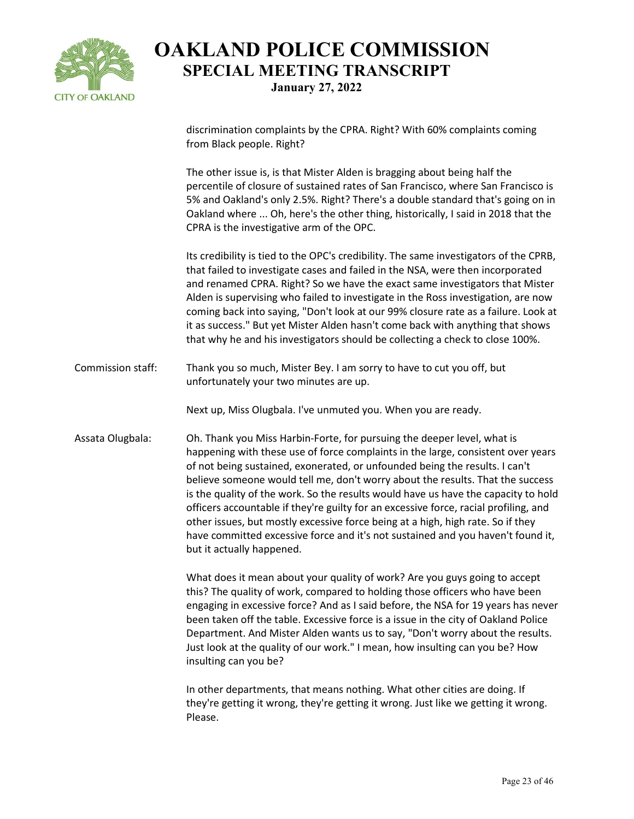

discrimination complaints by the CPRA. Right? With 60% complaints coming from Black people. Right?

The other issue is, is that Mister Alden is bragging about being half the percentile of closure of sustained rates of San Francisco, where San Francisco is 5% and Oakland's only 2.5%. Right? There's a double standard that's going on in Oakland where ... Oh, here's the other thing, historically, I said in 2018 that the CPRA is the investigative arm of the OPC.

Its credibility is tied to the OPC's credibility. The same investigators of the CPRB, that failed to investigate cases and failed in the NSA, were then incorporated and renamed CPRA. Right? So we have the exact same investigators that Mister Alden is supervising who failed to investigate in the Ross investigation, are now coming back into saying, "Don't look at our 99% closure rate as a failure. Look at it as success." But yet Mister Alden hasn't come back with anything that shows that why he and his investigators should be collecting a check to close 100%.

Commission staff: Thank you so much, Mister Bey. I am sorry to have to cut you off, but unfortunately your two minutes are up.

Next up, Miss Olugbala. I've unmuted you. When you are ready.

Assata Olugbala: Oh. Thank you Miss Harbin-Forte, for pursuing the deeper level, what is happening with these use of force complaints in the large, consistent over years of not being sustained, exonerated, or unfounded being the results. I can't believe someone would tell me, don't worry about the results. That the success is the quality of the work. So the results would have us have the capacity to hold officers accountable if they're guilty for an excessive force, racial profiling, and other issues, but mostly excessive force being at a high, high rate. So if they have committed excessive force and it's not sustained and you haven't found it, but it actually happened.

> What does it mean about your quality of work? Are you guys going to accept this? The quality of work, compared to holding those officers who have been engaging in excessive force? And as I said before, the NSA for 19 years has never been taken off the table. Excessive force is a issue in the city of Oakland Police Department. And Mister Alden wants us to say, "Don't worry about the results. Just look at the quality of our work." I mean, how insulting can you be? How insulting can you be?

In other departments, that means nothing. What other cities are doing. If they're getting it wrong, they're getting it wrong. Just like we getting it wrong. Please.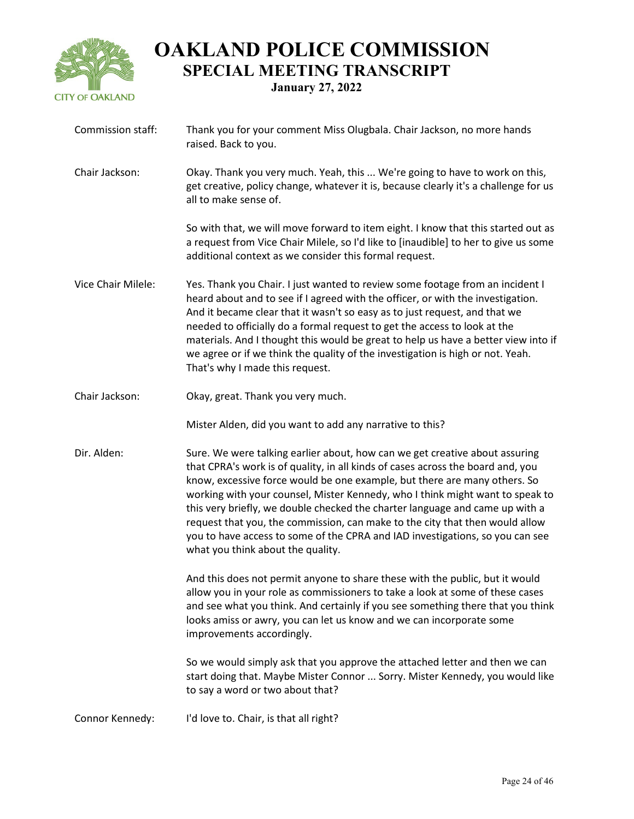

| Commission staff:  | Thank you for your comment Miss Olugbala. Chair Jackson, no more hands<br>raised. Back to you.                                                                                                                                                                                                                                                                                                                                                                                                                                                                                                                     |
|--------------------|--------------------------------------------------------------------------------------------------------------------------------------------------------------------------------------------------------------------------------------------------------------------------------------------------------------------------------------------------------------------------------------------------------------------------------------------------------------------------------------------------------------------------------------------------------------------------------------------------------------------|
| Chair Jackson:     | Okay. Thank you very much. Yeah, this  We're going to have to work on this,<br>get creative, policy change, whatever it is, because clearly it's a challenge for us<br>all to make sense of.                                                                                                                                                                                                                                                                                                                                                                                                                       |
|                    | So with that, we will move forward to item eight. I know that this started out as<br>a request from Vice Chair Milele, so I'd like to [inaudible] to her to give us some<br>additional context as we consider this formal request.                                                                                                                                                                                                                                                                                                                                                                                 |
| Vice Chair Milele: | Yes. Thank you Chair. I just wanted to review some footage from an incident I<br>heard about and to see if I agreed with the officer, or with the investigation.<br>And it became clear that it wasn't so easy as to just request, and that we<br>needed to officially do a formal request to get the access to look at the<br>materials. And I thought this would be great to help us have a better view into if<br>we agree or if we think the quality of the investigation is high or not. Yeah.<br>That's why I made this request.                                                                             |
| Chair Jackson:     | Okay, great. Thank you very much.                                                                                                                                                                                                                                                                                                                                                                                                                                                                                                                                                                                  |
|                    | Mister Alden, did you want to add any narrative to this?                                                                                                                                                                                                                                                                                                                                                                                                                                                                                                                                                           |
| Dir. Alden:        | Sure. We were talking earlier about, how can we get creative about assuring<br>that CPRA's work is of quality, in all kinds of cases across the board and, you<br>know, excessive force would be one example, but there are many others. So<br>working with your counsel, Mister Kennedy, who I think might want to speak to<br>this very briefly, we double checked the charter language and came up with a<br>request that you, the commission, can make to the city that then would allow<br>you to have access to some of the CPRA and IAD investigations, so you can see<br>what you think about the quality. |
|                    | And this does not permit anyone to share these with the public, but it would<br>allow you in your role as commissioners to take a look at some of these cases<br>and see what you think. And certainly if you see something there that you think<br>looks amiss or awry, you can let us know and we can incorporate some<br>improvements accordingly.                                                                                                                                                                                                                                                              |
|                    | So we would simply ask that you approve the attached letter and then we can<br>start doing that. Maybe Mister Connor  Sorry. Mister Kennedy, you would like<br>to say a word or two about that?                                                                                                                                                                                                                                                                                                                                                                                                                    |
| Connor Kennedy:    | I'd love to. Chair, is that all right?                                                                                                                                                                                                                                                                                                                                                                                                                                                                                                                                                                             |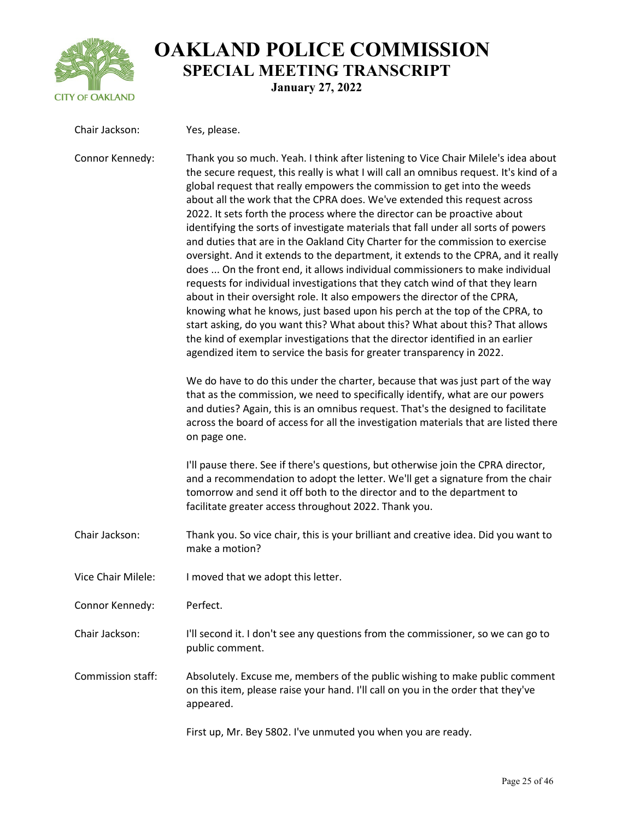

| Chair Jackson:            | Yes, please.                                                                                                                                                                                                                                                                                                                                                                                                                                                                                                                                                                                                                                                                                                                                                                                                                                                                                                                                                                                                                                                                                                                                                                                                                                                |
|---------------------------|-------------------------------------------------------------------------------------------------------------------------------------------------------------------------------------------------------------------------------------------------------------------------------------------------------------------------------------------------------------------------------------------------------------------------------------------------------------------------------------------------------------------------------------------------------------------------------------------------------------------------------------------------------------------------------------------------------------------------------------------------------------------------------------------------------------------------------------------------------------------------------------------------------------------------------------------------------------------------------------------------------------------------------------------------------------------------------------------------------------------------------------------------------------------------------------------------------------------------------------------------------------|
| Connor Kennedy:           | Thank you so much. Yeah. I think after listening to Vice Chair Milele's idea about<br>the secure request, this really is what I will call an omnibus request. It's kind of a<br>global request that really empowers the commission to get into the weeds<br>about all the work that the CPRA does. We've extended this request across<br>2022. It sets forth the process where the director can be proactive about<br>identifying the sorts of investigate materials that fall under all sorts of powers<br>and duties that are in the Oakland City Charter for the commission to exercise<br>oversight. And it extends to the department, it extends to the CPRA, and it really<br>does  On the front end, it allows individual commissioners to make individual<br>requests for individual investigations that they catch wind of that they learn<br>about in their oversight role. It also empowers the director of the CPRA,<br>knowing what he knows, just based upon his perch at the top of the CPRA, to<br>start asking, do you want this? What about this? What about this? That allows<br>the kind of exemplar investigations that the director identified in an earlier<br>agendized item to service the basis for greater transparency in 2022. |
|                           | We do have to do this under the charter, because that was just part of the way<br>that as the commission, we need to specifically identify, what are our powers<br>and duties? Again, this is an omnibus request. That's the designed to facilitate<br>across the board of access for all the investigation materials that are listed there<br>on page one.                                                                                                                                                                                                                                                                                                                                                                                                                                                                                                                                                                                                                                                                                                                                                                                                                                                                                                 |
|                           | I'll pause there. See if there's questions, but otherwise join the CPRA director,<br>and a recommendation to adopt the letter. We'll get a signature from the chair<br>tomorrow and send it off both to the director and to the department to<br>facilitate greater access throughout 2022. Thank you.                                                                                                                                                                                                                                                                                                                                                                                                                                                                                                                                                                                                                                                                                                                                                                                                                                                                                                                                                      |
| Chair Jackson:            | Thank you. So vice chair, this is your brilliant and creative idea. Did you want to<br>make a motion?                                                                                                                                                                                                                                                                                                                                                                                                                                                                                                                                                                                                                                                                                                                                                                                                                                                                                                                                                                                                                                                                                                                                                       |
| <b>Vice Chair Milele:</b> | I moved that we adopt this letter.                                                                                                                                                                                                                                                                                                                                                                                                                                                                                                                                                                                                                                                                                                                                                                                                                                                                                                                                                                                                                                                                                                                                                                                                                          |
| Connor Kennedy:           | Perfect.                                                                                                                                                                                                                                                                                                                                                                                                                                                                                                                                                                                                                                                                                                                                                                                                                                                                                                                                                                                                                                                                                                                                                                                                                                                    |
| Chair Jackson:            | I'll second it. I don't see any questions from the commissioner, so we can go to<br>public comment.                                                                                                                                                                                                                                                                                                                                                                                                                                                                                                                                                                                                                                                                                                                                                                                                                                                                                                                                                                                                                                                                                                                                                         |
| Commission staff:         | Absolutely. Excuse me, members of the public wishing to make public comment<br>on this item, please raise your hand. I'll call on you in the order that they've<br>appeared.                                                                                                                                                                                                                                                                                                                                                                                                                                                                                                                                                                                                                                                                                                                                                                                                                                                                                                                                                                                                                                                                                |
|                           | First up, Mr. Bey 5802. I've unmuted you when you are ready.                                                                                                                                                                                                                                                                                                                                                                                                                                                                                                                                                                                                                                                                                                                                                                                                                                                                                                                                                                                                                                                                                                                                                                                                |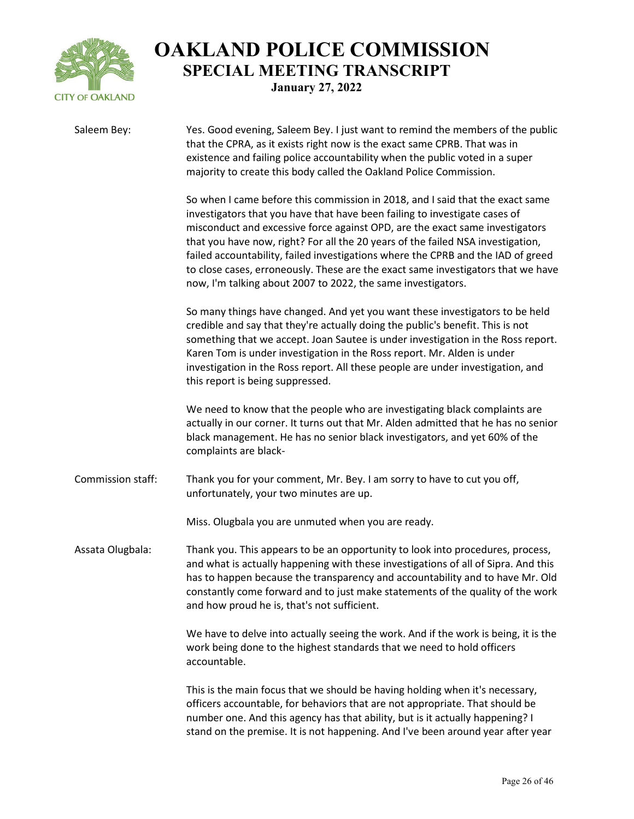

| Saleem Bey:       | Yes. Good evening, Saleem Bey. I just want to remind the members of the public<br>that the CPRA, as it exists right now is the exact same CPRB. That was in<br>existence and failing police accountability when the public voted in a super<br>majority to create this body called the Oakland Police Commission.                                                                                                                                                                                                                                                      |
|-------------------|------------------------------------------------------------------------------------------------------------------------------------------------------------------------------------------------------------------------------------------------------------------------------------------------------------------------------------------------------------------------------------------------------------------------------------------------------------------------------------------------------------------------------------------------------------------------|
|                   | So when I came before this commission in 2018, and I said that the exact same<br>investigators that you have that have been failing to investigate cases of<br>misconduct and excessive force against OPD, are the exact same investigators<br>that you have now, right? For all the 20 years of the failed NSA investigation,<br>failed accountability, failed investigations where the CPRB and the IAD of greed<br>to close cases, erroneously. These are the exact same investigators that we have<br>now, I'm talking about 2007 to 2022, the same investigators. |
|                   | So many things have changed. And yet you want these investigators to be held<br>credible and say that they're actually doing the public's benefit. This is not<br>something that we accept. Joan Sautee is under investigation in the Ross report.<br>Karen Tom is under investigation in the Ross report. Mr. Alden is under<br>investigation in the Ross report. All these people are under investigation, and<br>this report is being suppressed.                                                                                                                   |
|                   | We need to know that the people who are investigating black complaints are<br>actually in our corner. It turns out that Mr. Alden admitted that he has no senior<br>black management. He has no senior black investigators, and yet 60% of the<br>complaints are black-                                                                                                                                                                                                                                                                                                |
| Commission staff: | Thank you for your comment, Mr. Bey. I am sorry to have to cut you off,<br>unfortunately, your two minutes are up.                                                                                                                                                                                                                                                                                                                                                                                                                                                     |
|                   | Miss. Olugbala you are unmuted when you are ready.                                                                                                                                                                                                                                                                                                                                                                                                                                                                                                                     |
| Assata Olugbala:  | Thank you. This appears to be an opportunity to look into procedures, process,<br>and what is actually happening with these investigations of all of Sipra. And this<br>has to happen because the transparency and accountability and to have Mr. Old<br>constantly come forward and to just make statements of the quality of the work<br>and how proud he is, that's not sufficient.                                                                                                                                                                                 |
|                   | We have to delve into actually seeing the work. And if the work is being, it is the<br>work being done to the highest standards that we need to hold officers<br>accountable.                                                                                                                                                                                                                                                                                                                                                                                          |
|                   | This is the main focus that we should be having holding when it's necessary,<br>officers accountable, for behaviors that are not appropriate. That should be<br>number one. And this agency has that ability, but is it actually happening? I<br>stand on the premise. It is not happening. And I've been around year after year                                                                                                                                                                                                                                       |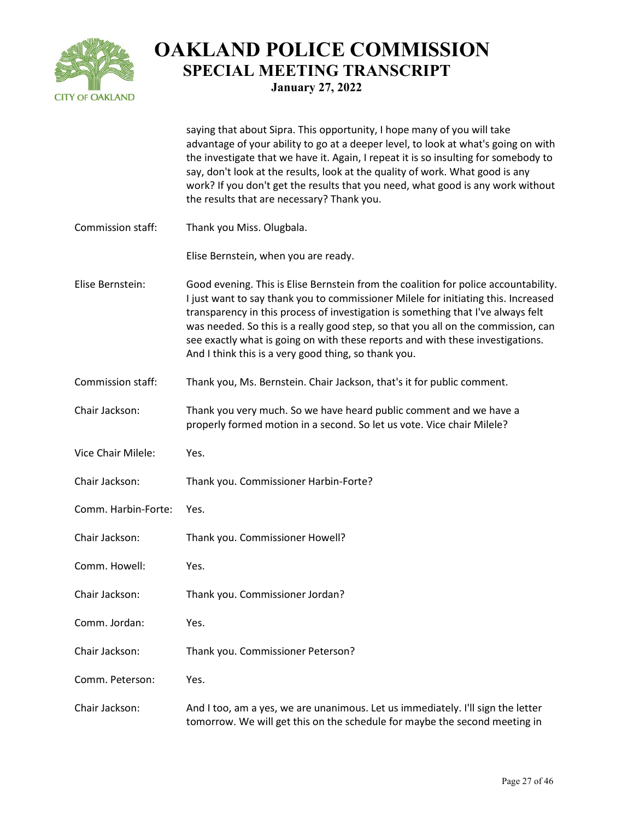

saying that about Sipra. This opportunity, I hope many of you will take advantage of your ability to go at a deeper level, to look at what's going on with the investigate that we have it. Again, I repeat it is so insulting for somebody to say, don't look at the results, look at the quality of work. What good is any work? If you don't get the results that you need, what good is any work without the results that are necessary? Thank you.

Commission staff: Thank you Miss. Olugbala.

Elise Bernstein, when you are ready.

Elise Bernstein: Good evening. This is Elise Bernstein from the coalition for police accountability. I just want to say thank you to commissioner Milele for initiating this. Increased transparency in this process of investigation is something that I've always felt was needed. So this is a really good step, so that you all on the commission, can see exactly what is going on with these reports and with these investigations. And I think this is a very good thing, so thank you.

- Commission staff: Thank you, Ms. Bernstein. Chair Jackson, that's it for public comment.
- Chair Jackson: Thank you very much. So we have heard public comment and we have a properly formed motion in a second. So let us vote. Vice chair Milele?
- Vice Chair Milele: Yes.
- Chair Jackson: Thank you. Commissioner Harbin-Forte?
- Comm. Harbin-Forte: Yes.
- Chair Jackson: Thank you. Commissioner Howell?
- Comm. Howell: Yes.
- Chair Jackson: Thank you. Commissioner Jordan?
- Comm. Jordan: Yes.
- Chair Jackson: Thank you. Commissioner Peterson?
- Comm. Peterson: Yes.
- Chair Jackson: And I too, am a yes, we are unanimous. Let us immediately. I'll sign the letter tomorrow. We will get this on the schedule for maybe the second meeting in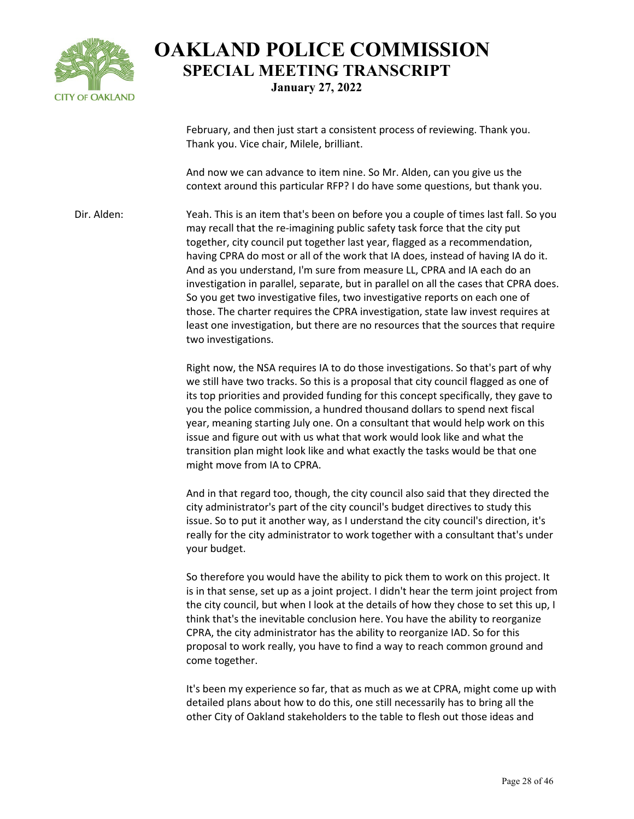

February, and then just start a consistent process of reviewing. Thank you. Thank you. Vice chair, Milele, brilliant.

And now we can advance to item nine. So Mr. Alden, can you give us the context around this particular RFP? I do have some questions, but thank you.

Dir. Alden: Yeah. This is an item that's been on before you a couple of times last fall. So you may recall that the re-imagining public safety task force that the city put together, city council put together last year, flagged as a recommendation, having CPRA do most or all of the work that IA does, instead of having IA do it. And as you understand, I'm sure from measure LL, CPRA and IA each do an investigation in parallel, separate, but in parallel on all the cases that CPRA does. So you get two investigative files, two investigative reports on each one of those. The charter requires the CPRA investigation, state law invest requires at least one investigation, but there are no resources that the sources that require two investigations.

> Right now, the NSA requires IA to do those investigations. So that's part of why we still have two tracks. So this is a proposal that city council flagged as one of its top priorities and provided funding for this concept specifically, they gave to you the police commission, a hundred thousand dollars to spend next fiscal year, meaning starting July one. On a consultant that would help work on this issue and figure out with us what that work would look like and what the transition plan might look like and what exactly the tasks would be that one might move from IA to CPRA.

> And in that regard too, though, the city council also said that they directed the city administrator's part of the city council's budget directives to study this issue. So to put it another way, as I understand the city council's direction, it's really for the city administrator to work together with a consultant that's under your budget.

So therefore you would have the ability to pick them to work on this project. It is in that sense, set up as a joint project. I didn't hear the term joint project from the city council, but when I look at the details of how they chose to set this up, I think that's the inevitable conclusion here. You have the ability to reorganize CPRA, the city administrator has the ability to reorganize IAD. So for this proposal to work really, you have to find a way to reach common ground and come together.

It's been my experience so far, that as much as we at CPRA, might come up with detailed plans about how to do this, one still necessarily has to bring all the other City of Oakland stakeholders to the table to flesh out those ideas and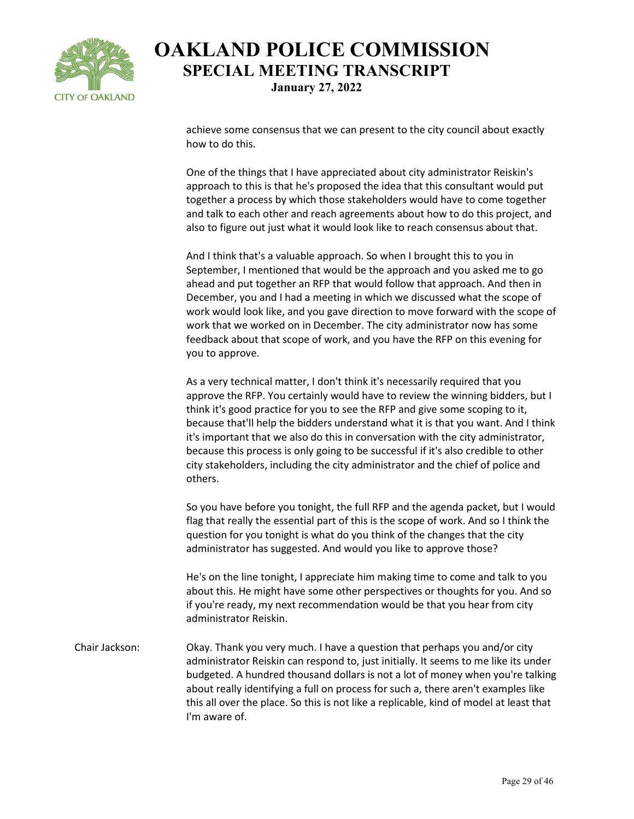

achieve some consensus that we can present to the city council about exactly how to do this.

One of the things that I have appreciated about city administrator Reiskin's approach to this is that he's proposed the idea that this consultant would put together a process by which those stakeholders would have to come together and talk to each other and reach agreements about how to do this project, and also to figure out just what it would look like to reach consensus about that.

And I think that's a valuable approach. So when I brought this to you in September, I mentioned that would be the approach and you asked me to go ahead and put together an RFP that would follow that approach. And then in December, you and I had a meeting in which we discussed what the scope of work would look like, and you gave direction to move forward with the scope of work that we worked on in December. The city administrator now has some feedback about that scope of work, and you have the RFP on this evening for you to approve.

As a very technical matter, I don't think it's necessarily required that you approve the RFP. You certainly would have to review the winning bidders, but I think it's good practice for you to see the RFP and give some scoping to it, because that'll help the bidders understand what it is that you want. And I think it's important that we also do this in conversation with the city administrator, because this process is only going to be successful if it's also credible to other city stakeholders, including the city administrator and the chief of police and others.

So you have before you tonight, the full RFP and the agenda packet, but I would flag that really the essential part of this is the scope of work. And so I think the question for you tonight is what do you think of the changes that the city administrator has suggested. And would you like to approve those?

He's on the line tonight, I appreciate him making time to come and talk to you about this. He might have some other perspectives or thoughts for you. And so if you're ready, my next recommendation would be that you hear from city administrator Reiskin.

Chair Jackson: Okay. Thank you very much. I have a question that perhaps you and/or city administrator Reiskin can respond to, just initially. It seems to me like its under budgeted. A hundred thousand dollars is not a lot of money when you're talking about really identifying a full on process for such a, there aren't examples like this all over the place. So this is not like a replicable, kind of model at least that I'm aware of.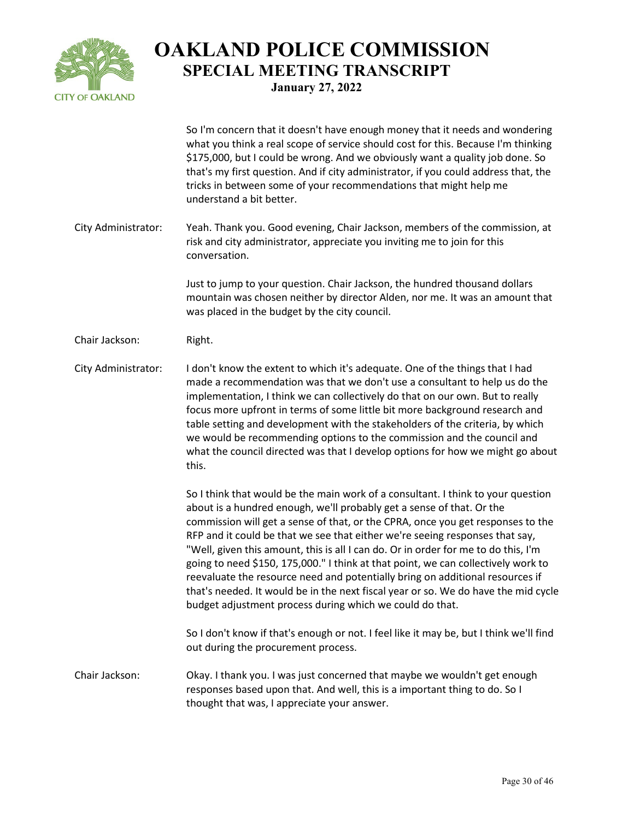

So I'm concern that it doesn't have enough money that it needs and wondering what you think a real scope of service should cost for this. Because I'm thinking \$175,000, but I could be wrong. And we obviously want a quality job done. So that's my first question. And if city administrator, if you could address that, the tricks in between some of your recommendations that might help me understand a bit better. City Administrator: Yeah. Thank you. Good evening, Chair Jackson, members of the commission, at risk and city administrator, appreciate you inviting me to join for this conversation. Just to jump to your question. Chair Jackson, the hundred thousand dollars mountain was chosen neither by director Alden, nor me. It was an amount that was placed in the budget by the city council. Chair Jackson: Right. City Administrator: I don't know the extent to which it's adequate. One of the things that I had made a recommendation was that we don't use a consultant to help us do the implementation, I think we can collectively do that on our own. But to really focus more upfront in terms of some little bit more background research and table setting and development with the stakeholders of the criteria, by which we would be recommending options to the commission and the council and what the council directed was that I develop options for how we might go about this. So I think that would be the main work of a consultant. I think to your question about is a hundred enough, we'll probably get a sense of that. Or the commission will get a sense of that, or the CPRA, once you get responses to the RFP and it could be that we see that either we're seeing responses that say, "Well, given this amount, this is all I can do. Or in order for me to do this, I'm going to need \$150, 175,000." I think at that point, we can collectively work to reevaluate the resource need and potentially bring on additional resources if that's needed. It would be in the next fiscal year or so. We do have the mid cycle budget adjustment process during which we could do that. So I don't know if that's enough or not. I feel like it may be, but I think we'll find out during the procurement process. Chair Jackson: Okay. I thank you. I was just concerned that maybe we wouldn't get enough responses based upon that. And well, this is a important thing to do. So I thought that was, I appreciate your answer.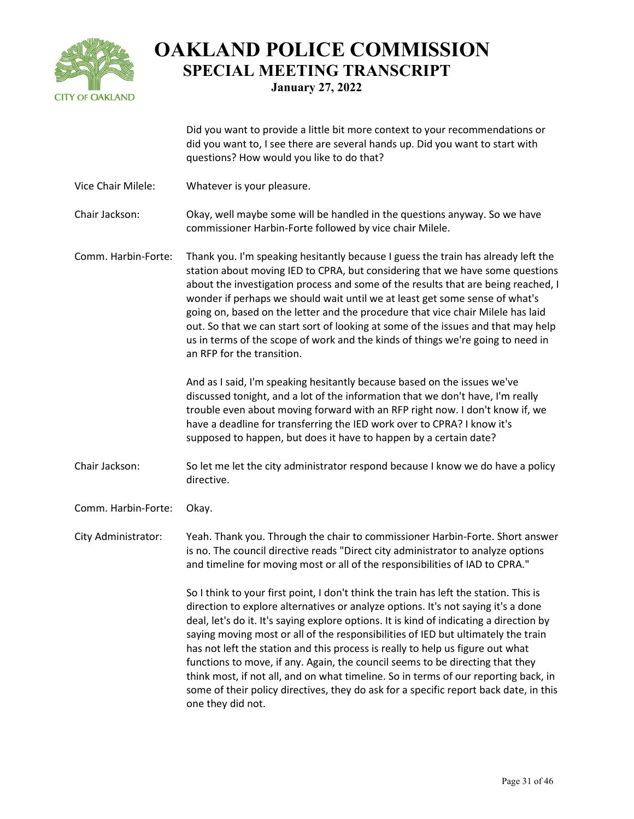

Did you want to provide a little bit more context to your recommendations or did you want to, I see there are several hands up. Did you want to start with questions? How would you like to do that?

- Vice Chair Milele: Whatever is your pleasure.
- Chair Jackson: Okay, well maybe some will be handled in the questions anyway. So we have commissioner Harbin-Forte followed by vice chair Milele.
- Comm. Harbin-Forte: Thank you. I'm speaking hesitantly because I guess the train has already left the station about moving IED to CPRA, but considering that we have some questions about the investigation process and some of the results that are being reached, I wonder if perhaps we should wait until we at least get some sense of what's going on, based on the letter and the procedure that vice chair Milele has laid out. So that we can start sort of looking at some of the issues and that may help us in terms of the scope of work and the kinds of things we're going to need in an RFP for the transition.

And as I said, I'm speaking hesitantly because based on the issues we've discussed tonight, and a lot of the information that we don't have, I'm really trouble even about moving forward with an RFP right now. I don't know if, we have a deadline for transferring the IED work over to CPRA? I know it's supposed to happen, but does it have to happen by a certain date?

- Chair Jackson: So let me let the city administrator respond because I know we do have a policy directive.
- Comm. Harbin-Forte: Okay.

City Administrator: Yeah. Thank you. Through the chair to commissioner Harbin-Forte. Short answer is no. The council directive reads "Direct city administrator to analyze options and timeline for moving most or all of the responsibilities of IAD to CPRA."

> So I think to your first point, I don't think the train has left the station. This is direction to explore alternatives or analyze options. It's not saying it's a done deal, let's do it. It's saying explore options. It is kind of indicating a direction by saying moving most or all of the responsibilities of IED but ultimately the train has not left the station and this process is really to help us figure out what functions to move, if any. Again, the council seems to be directing that they think most, if not all, and on what timeline. So in terms of our reporting back, in some of their policy directives, they do ask for a specific report back date, in this one they did not.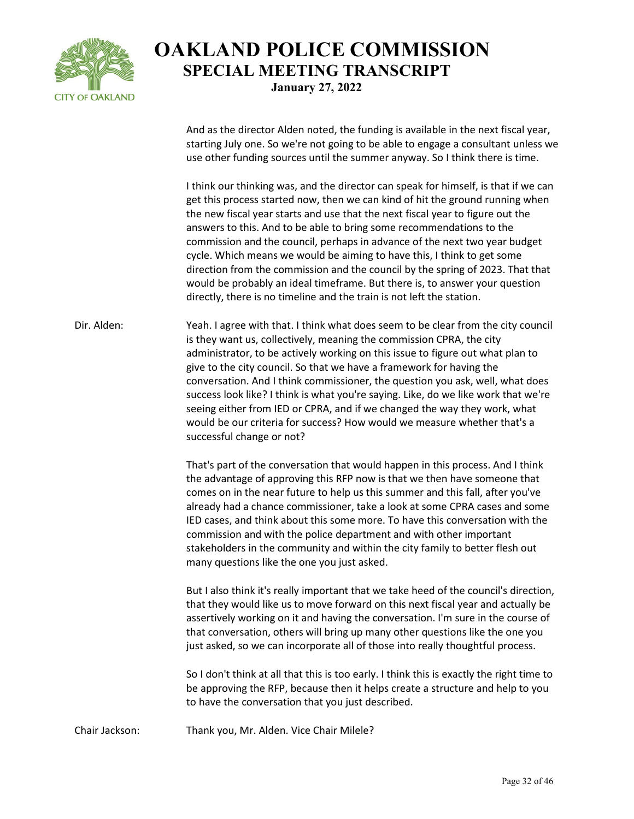

And as the director Alden noted, the funding is available in the next fiscal year, starting July one. So we're not going to be able to engage a consultant unless we use other funding sources until the summer anyway. So I think there is time.

I think our thinking was, and the director can speak for himself, is that if we can get this process started now, then we can kind of hit the ground running when the new fiscal year starts and use that the next fiscal year to figure out the answers to this. And to be able to bring some recommendations to the commission and the council, perhaps in advance of the next two year budget cycle. Which means we would be aiming to have this, I think to get some direction from the commission and the council by the spring of 2023. That that would be probably an ideal timeframe. But there is, to answer your question directly, there is no timeline and the train is not left the station.

Dir. Alden: Yeah. I agree with that. I think what does seem to be clear from the city council is they want us, collectively, meaning the commission CPRA, the city administrator, to be actively working on this issue to figure out what plan to give to the city council. So that we have a framework for having the conversation. And I think commissioner, the question you ask, well, what does success look like? I think is what you're saying. Like, do we like work that we're seeing either from IED or CPRA, and if we changed the way they work, what would be our criteria for success? How would we measure whether that's a successful change or not?

> That's part of the conversation that would happen in this process. And I think the advantage of approving this RFP now is that we then have someone that comes on in the near future to help us this summer and this fall, after you've already had a chance commissioner, take a look at some CPRA cases and some IED cases, and think about this some more. To have this conversation with the commission and with the police department and with other important stakeholders in the community and within the city family to better flesh out many questions like the one you just asked.

But I also think it's really important that we take heed of the council's direction, that they would like us to move forward on this next fiscal year and actually be assertively working on it and having the conversation. I'm sure in the course of that conversation, others will bring up many other questions like the one you just asked, so we can incorporate all of those into really thoughtful process.

So I don't think at all that this is too early. I think this is exactly the right time to be approving the RFP, because then it helps create a structure and help to you to have the conversation that you just described.

Chair Jackson: Thank you, Mr. Alden. Vice Chair Milele?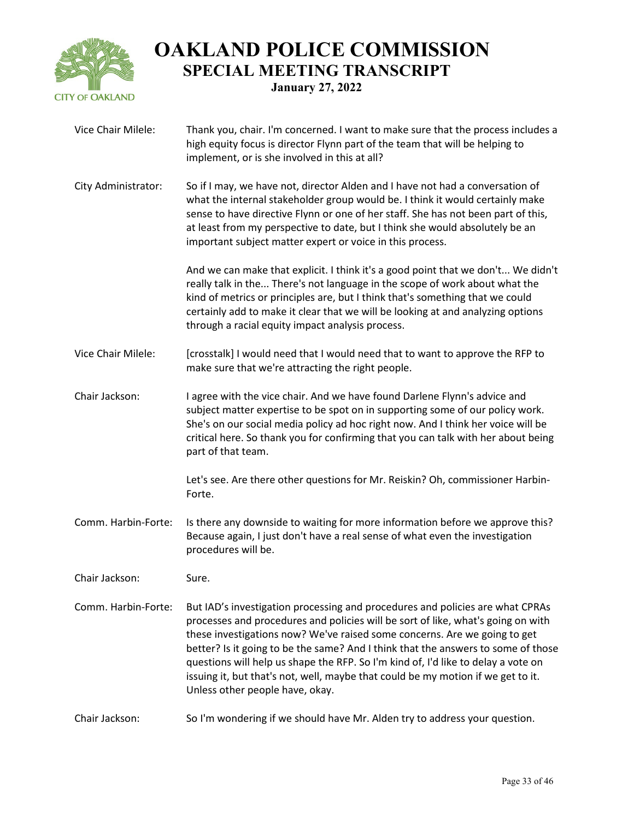

| Vice Chair Milele:  | Thank you, chair. I'm concerned. I want to make sure that the process includes a<br>high equity focus is director Flynn part of the team that will be helping to<br>implement, or is she involved in this at all?                                                                                                                                                                                                                                                                                                                               |
|---------------------|-------------------------------------------------------------------------------------------------------------------------------------------------------------------------------------------------------------------------------------------------------------------------------------------------------------------------------------------------------------------------------------------------------------------------------------------------------------------------------------------------------------------------------------------------|
| City Administrator: | So if I may, we have not, director Alden and I have not had a conversation of<br>what the internal stakeholder group would be. I think it would certainly make<br>sense to have directive Flynn or one of her staff. She has not been part of this,<br>at least from my perspective to date, but I think she would absolutely be an<br>important subject matter expert or voice in this process.                                                                                                                                                |
|                     | And we can make that explicit. I think it's a good point that we don't We didn't<br>really talk in the There's not language in the scope of work about what the<br>kind of metrics or principles are, but I think that's something that we could<br>certainly add to make it clear that we will be looking at and analyzing options<br>through a racial equity impact analysis process.                                                                                                                                                         |
| Vice Chair Milele:  | [crosstalk] I would need that I would need that to want to approve the RFP to<br>make sure that we're attracting the right people.                                                                                                                                                                                                                                                                                                                                                                                                              |
| Chair Jackson:      | I agree with the vice chair. And we have found Darlene Flynn's advice and<br>subject matter expertise to be spot on in supporting some of our policy work.<br>She's on our social media policy ad hoc right now. And I think her voice will be<br>critical here. So thank you for confirming that you can talk with her about being<br>part of that team.                                                                                                                                                                                       |
|                     | Let's see. Are there other questions for Mr. Reiskin? Oh, commissioner Harbin-<br>Forte.                                                                                                                                                                                                                                                                                                                                                                                                                                                        |
| Comm. Harbin-Forte: | Is there any downside to waiting for more information before we approve this?<br>Because again, I just don't have a real sense of what even the investigation<br>procedures will be.                                                                                                                                                                                                                                                                                                                                                            |
| Chair Jackson:      | Sure.                                                                                                                                                                                                                                                                                                                                                                                                                                                                                                                                           |
| Comm. Harbin-Forte: | But IAD's investigation processing and procedures and policies are what CPRAs<br>processes and procedures and policies will be sort of like, what's going on with<br>these investigations now? We've raised some concerns. Are we going to get<br>better? Is it going to be the same? And I think that the answers to some of those<br>questions will help us shape the RFP. So I'm kind of, I'd like to delay a vote on<br>issuing it, but that's not, well, maybe that could be my motion if we get to it.<br>Unless other people have, okay. |
| Chair Jackson:      | So I'm wondering if we should have Mr. Alden try to address your question.                                                                                                                                                                                                                                                                                                                                                                                                                                                                      |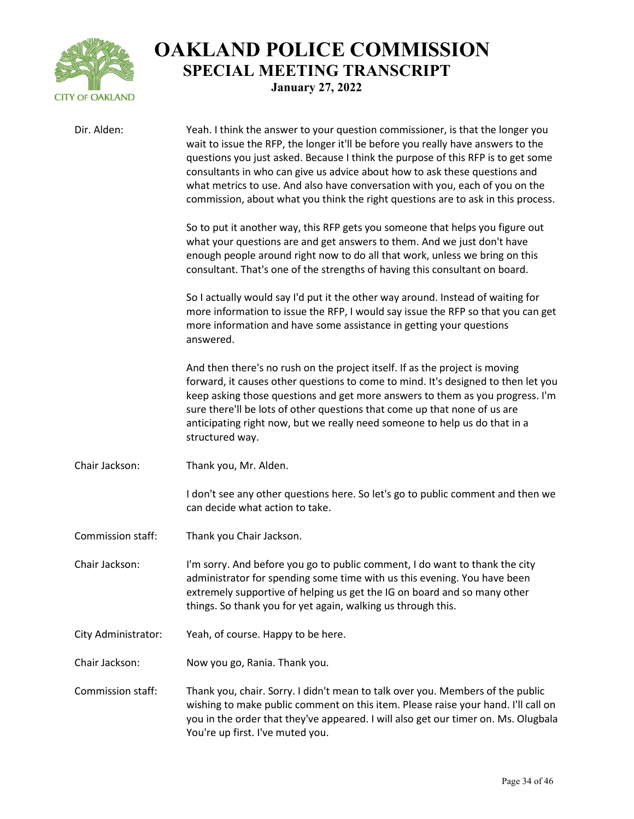

| Dir. Alden:         | Yeah. I think the answer to your question commissioner, is that the longer you<br>wait to issue the RFP, the longer it'll be before you really have answers to the<br>questions you just asked. Because I think the purpose of this RFP is to get some<br>consultants in who can give us advice about how to ask these questions and<br>what metrics to use. And also have conversation with you, each of you on the<br>commission, about what you think the right questions are to ask in this process. |
|---------------------|----------------------------------------------------------------------------------------------------------------------------------------------------------------------------------------------------------------------------------------------------------------------------------------------------------------------------------------------------------------------------------------------------------------------------------------------------------------------------------------------------------|
|                     | So to put it another way, this RFP gets you someone that helps you figure out<br>what your questions are and get answers to them. And we just don't have<br>enough people around right now to do all that work, unless we bring on this<br>consultant. That's one of the strengths of having this consultant on board.                                                                                                                                                                                   |
|                     | So I actually would say I'd put it the other way around. Instead of waiting for<br>more information to issue the RFP, I would say issue the RFP so that you can get<br>more information and have some assistance in getting your questions<br>answered.                                                                                                                                                                                                                                                  |
|                     | And then there's no rush on the project itself. If as the project is moving<br>forward, it causes other questions to come to mind. It's designed to then let you<br>keep asking those questions and get more answers to them as you progress. I'm<br>sure there'll be lots of other questions that come up that none of us are<br>anticipating right now, but we really need someone to help us do that in a<br>structured way.                                                                          |
| Chair Jackson:      | Thank you, Mr. Alden.                                                                                                                                                                                                                                                                                                                                                                                                                                                                                    |
|                     | I don't see any other questions here. So let's go to public comment and then we<br>can decide what action to take.                                                                                                                                                                                                                                                                                                                                                                                       |
| Commission staff:   | Thank you Chair Jackson.                                                                                                                                                                                                                                                                                                                                                                                                                                                                                 |
| Chair Jackson:      | I'm sorry. And before you go to public comment, I do want to thank the city<br>administrator for spending some time with us this evening. You have been<br>extremely supportive of helping us get the IG on board and so many other<br>things. So thank you for yet again, walking us through this.                                                                                                                                                                                                      |
| City Administrator: | Yeah, of course. Happy to be here.                                                                                                                                                                                                                                                                                                                                                                                                                                                                       |
| Chair Jackson:      | Now you go, Rania. Thank you.                                                                                                                                                                                                                                                                                                                                                                                                                                                                            |
| Commission staff:   | Thank you, chair. Sorry. I didn't mean to talk over you. Members of the public<br>wishing to make public comment on this item. Please raise your hand. I'll call on<br>you in the order that they've appeared. I will also get our timer on. Ms. Olugbala<br>You're up first. I've muted you.                                                                                                                                                                                                            |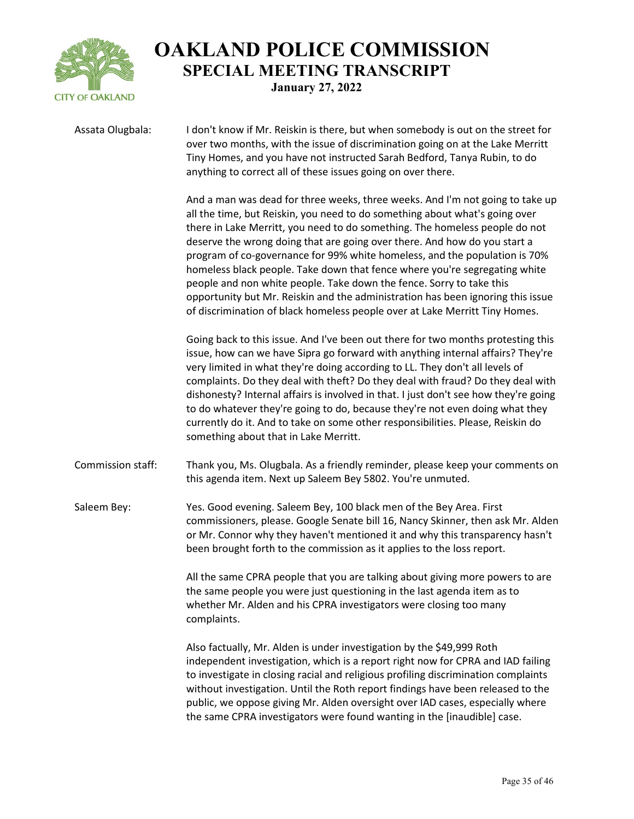

Assata Olugbala: I don't know if Mr. Reiskin is there, but when somebody is out on the street for over two months, with the issue of discrimination going on at the Lake Merritt Tiny Homes, and you have not instructed Sarah Bedford, Tanya Rubin, to do anything to correct all of these issues going on over there.

> And a man was dead for three weeks, three weeks. And I'm not going to take up all the time, but Reiskin, you need to do something about what's going over there in Lake Merritt, you need to do something. The homeless people do not deserve the wrong doing that are going over there. And how do you start a program of co-governance for 99% white homeless, and the population is 70% homeless black people. Take down that fence where you're segregating white people and non white people. Take down the fence. Sorry to take this opportunity but Mr. Reiskin and the administration has been ignoring this issue of discrimination of black homeless people over at Lake Merritt Tiny Homes.

> Going back to this issue. And I've been out there for two months protesting this issue, how can we have Sipra go forward with anything internal affairs? They're very limited in what they're doing according to LL. They don't all levels of complaints. Do they deal with theft? Do they deal with fraud? Do they deal with dishonesty? Internal affairs is involved in that. I just don't see how they're going to do whatever they're going to do, because they're not even doing what they currently do it. And to take on some other responsibilities. Please, Reiskin do something about that in Lake Merritt.

- Commission staff: Thank you, Ms. Olugbala. As a friendly reminder, please keep your comments on this agenda item. Next up Saleem Bey 5802. You're unmuted.
- Saleem Bey: Yes. Good evening. Saleem Bey, 100 black men of the Bey Area. First commissioners, please. Google Senate bill 16, Nancy Skinner, then ask Mr. Alden or Mr. Connor why they haven't mentioned it and why this transparency hasn't been brought forth to the commission as it applies to the loss report.

All the same CPRA people that you are talking about giving more powers to are the same people you were just questioning in the last agenda item as to whether Mr. Alden and his CPRA investigators were closing too many complaints.

Also factually, Mr. Alden is under investigation by the \$49,999 Roth independent investigation, which is a report right now for CPRA and IAD failing to investigate in closing racial and religious profiling discrimination complaints without investigation. Until the Roth report findings have been released to the public, we oppose giving Mr. Alden oversight over IAD cases, especially where the same CPRA investigators were found wanting in the [inaudible] case.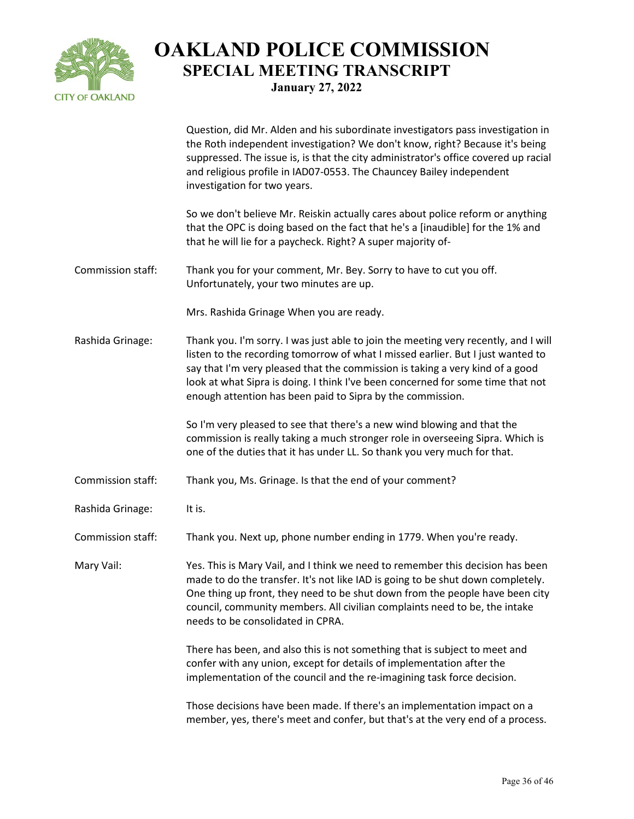

Question, did Mr. Alden and his subordinate investigators pass investigation in the Roth independent investigation? We don't know, right? Because it's being suppressed. The issue is, is that the city administrator's office covered up racial and religious profile in IAD07-0553. The Chauncey Bailey independent investigation for two years.

So we don't believe Mr. Reiskin actually cares about police reform or anything that the OPC is doing based on the fact that he's a [inaudible] for the 1% and that he will lie for a paycheck. Right? A super majority of-

Commission staff: Thank you for your comment, Mr. Bey. Sorry to have to cut you off. Unfortunately, your two minutes are up.

Mrs. Rashida Grinage When you are ready.

Rashida Grinage: Thank you. I'm sorry. I was just able to join the meeting very recently, and I will listen to the recording tomorrow of what I missed earlier. But I just wanted to say that I'm very pleased that the commission is taking a very kind of a good look at what Sipra is doing. I think I've been concerned for some time that not enough attention has been paid to Sipra by the commission.

> So I'm very pleased to see that there's a new wind blowing and that the commission is really taking a much stronger role in overseeing Sipra. Which is one of the duties that it has under LL. So thank you very much for that.

Commission staff: Thank you, Ms. Grinage. Is that the end of your comment?

Rashida Grinage: It is.

Commission staff: Thank you. Next up, phone number ending in 1779. When you're ready.

Mary Vail: Yes. This is Mary Vail, and I think we need to remember this decision has been made to do the transfer. It's not like IAD is going to be shut down completely. One thing up front, they need to be shut down from the people have been city council, community members. All civilian complaints need to be, the intake needs to be consolidated in CPRA.

> There has been, and also this is not something that is subject to meet and confer with any union, except for details of implementation after the implementation of the council and the re-imagining task force decision.

Those decisions have been made. If there's an implementation impact on a member, yes, there's meet and confer, but that's at the very end of a process.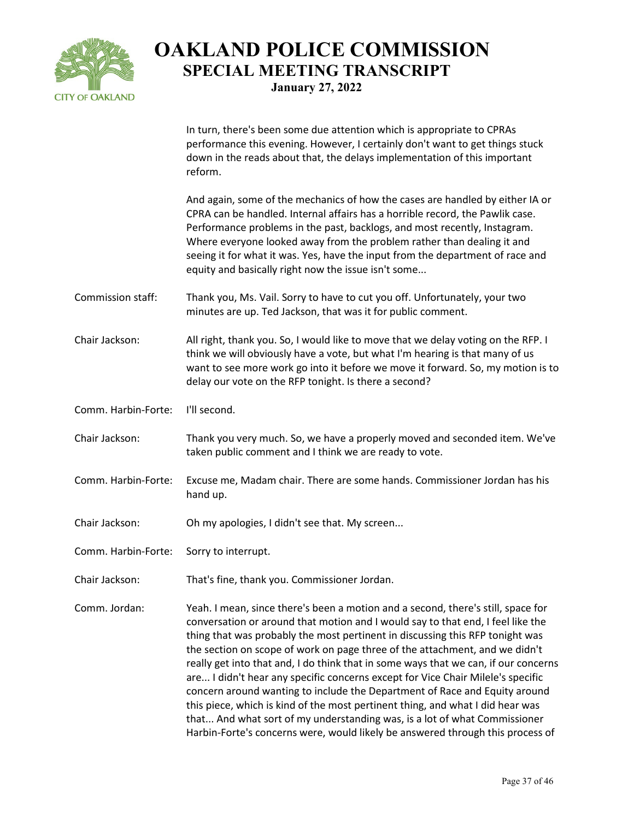

In turn, there's been some due attention which is appropriate to CPRAs performance this evening. However, I certainly don't want to get things stuck down in the reads about that, the delays implementation of this important reform.

And again, some of the mechanics of how the cases are handled by either IA or CPRA can be handled. Internal affairs has a horrible record, the Pawlik case. Performance problems in the past, backlogs, and most recently, Instagram. Where everyone looked away from the problem rather than dealing it and seeing it for what it was. Yes, have the input from the department of race and equity and basically right now the issue isn't some...

Commission staff: Thank you, Ms. Vail. Sorry to have to cut you off. Unfortunately, your two minutes are up. Ted Jackson, that was it for public comment.

Chair Jackson: All right, thank you. So, I would like to move that we delay voting on the RFP. I think we will obviously have a vote, but what I'm hearing is that many of us want to see more work go into it before we move it forward. So, my motion is to delay our vote on the RFP tonight. Is there a second?

Comm. Harbin-Forte: I'll second.

Chair Jackson: Thank you very much. So, we have a properly moved and seconded item. We've taken public comment and I think we are ready to vote.

Comm. Harbin-Forte: Excuse me, Madam chair. There are some hands. Commissioner Jordan has his hand up.

- Chair Jackson: Oh my apologies, I didn't see that. My screen...
- Comm. Harbin-Forte: Sorry to interrupt.
- Chair Jackson: That's fine, thank you. Commissioner Jordan.
- Comm. Jordan: Yeah. I mean, since there's been a motion and a second, there's still, space for conversation or around that motion and I would say to that end, I feel like the thing that was probably the most pertinent in discussing this RFP tonight was the section on scope of work on page three of the attachment, and we didn't really get into that and, I do think that in some ways that we can, if our concerns are... I didn't hear any specific concerns except for Vice Chair Milele's specific concern around wanting to include the Department of Race and Equity around this piece, which is kind of the most pertinent thing, and what I did hear was that... And what sort of my understanding was, is a lot of what Commissioner Harbin-Forte's concerns were, would likely be answered through this process of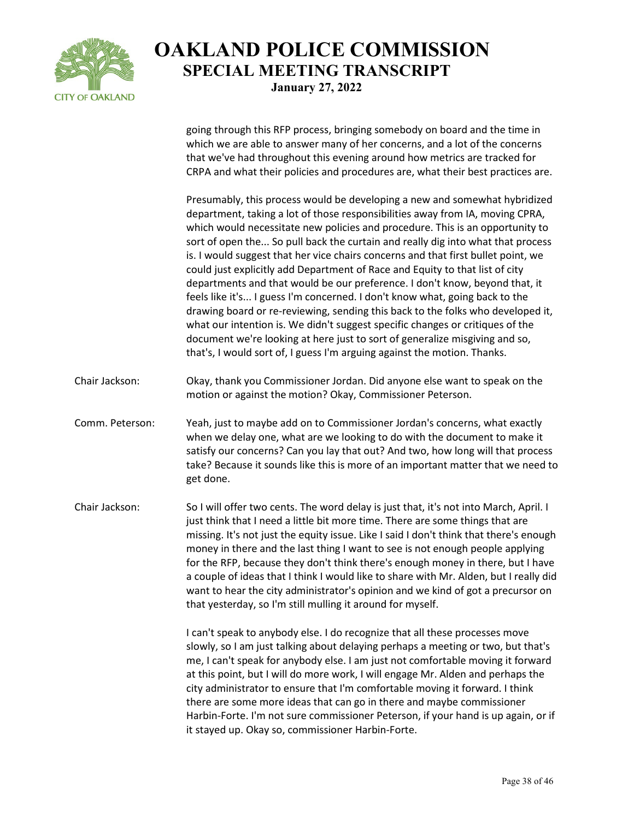

going through this RFP process, bringing somebody on board and the time in which we are able to answer many of her concerns, and a lot of the concerns that we've had throughout this evening around how metrics are tracked for CRPA and what their policies and procedures are, what their best practices are.

Presumably, this process would be developing a new and somewhat hybridized department, taking a lot of those responsibilities away from IA, moving CPRA, which would necessitate new policies and procedure. This is an opportunity to sort of open the... So pull back the curtain and really dig into what that process is. I would suggest that her vice chairs concerns and that first bullet point, we could just explicitly add Department of Race and Equity to that list of city departments and that would be our preference. I don't know, beyond that, it feels like it's... I guess I'm concerned. I don't know what, going back to the drawing board or re-reviewing, sending this back to the folks who developed it, what our intention is. We didn't suggest specific changes or critiques of the document we're looking at here just to sort of generalize misgiving and so, that's, I would sort of, I guess I'm arguing against the motion. Thanks. Chair Jackson: Okay, thank you Commissioner Jordan. Did anyone else want to speak on the motion or against the motion? Okay, Commissioner Peterson. Comm. Peterson: Yeah, just to maybe add on to Commissioner Jordan's concerns, what exactly

when we delay one, what are we looking to do with the document to make it satisfy our concerns? Can you lay that out? And two, how long will that process take? Because it sounds like this is more of an important matter that we need to get done.

Chair Jackson: So I will offer two cents. The word delay is just that, it's not into March, April. I just think that I need a little bit more time. There are some things that are missing. It's not just the equity issue. Like I said I don't think that there's enough money in there and the last thing I want to see is not enough people applying for the RFP, because they don't think there's enough money in there, but I have a couple of ideas that I think I would like to share with Mr. Alden, but I really did want to hear the city administrator's opinion and we kind of got a precursor on that yesterday, so I'm still mulling it around for myself.

> I can't speak to anybody else. I do recognize that all these processes move slowly, so I am just talking about delaying perhaps a meeting or two, but that's me, I can't speak for anybody else. I am just not comfortable moving it forward at this point, but I will do more work, I will engage Mr. Alden and perhaps the city administrator to ensure that I'm comfortable moving it forward. I think there are some more ideas that can go in there and maybe commissioner Harbin-Forte. I'm not sure commissioner Peterson, if your hand is up again, or if it stayed up. Okay so, commissioner Harbin-Forte.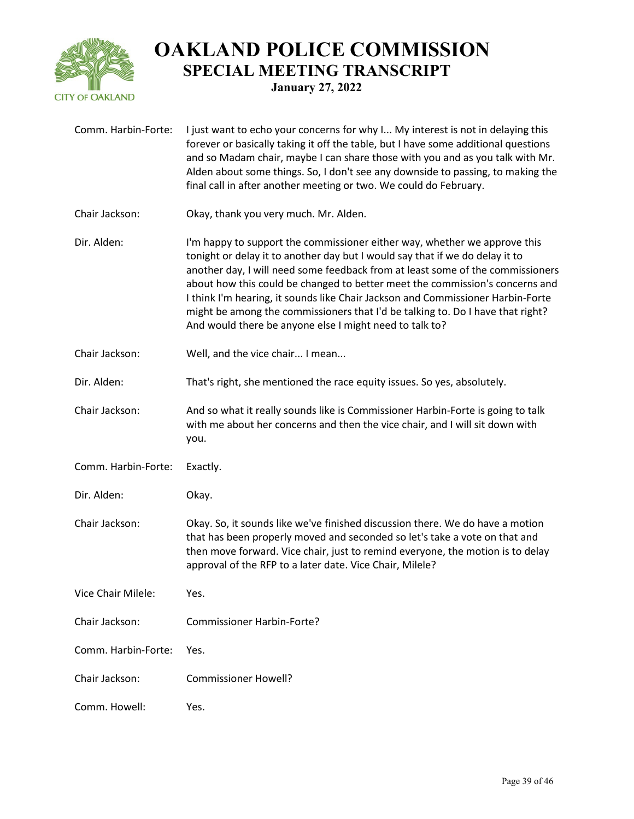

| Comm. Harbin-Forte: | I just want to echo your concerns for why I My interest is not in delaying this<br>forever or basically taking it off the table, but I have some additional questions<br>and so Madam chair, maybe I can share those with you and as you talk with Mr.<br>Alden about some things. So, I don't see any downside to passing, to making the<br>final call in after another meeting or two. We could do February.                                                                                                                                              |
|---------------------|-------------------------------------------------------------------------------------------------------------------------------------------------------------------------------------------------------------------------------------------------------------------------------------------------------------------------------------------------------------------------------------------------------------------------------------------------------------------------------------------------------------------------------------------------------------|
| Chair Jackson:      | Okay, thank you very much. Mr. Alden.                                                                                                                                                                                                                                                                                                                                                                                                                                                                                                                       |
| Dir. Alden:         | I'm happy to support the commissioner either way, whether we approve this<br>tonight or delay it to another day but I would say that if we do delay it to<br>another day, I will need some feedback from at least some of the commissioners<br>about how this could be changed to better meet the commission's concerns and<br>I think I'm hearing, it sounds like Chair Jackson and Commissioner Harbin-Forte<br>might be among the commissioners that I'd be talking to. Do I have that right?<br>And would there be anyone else I might need to talk to? |
| Chair Jackson:      | Well, and the vice chair I mean                                                                                                                                                                                                                                                                                                                                                                                                                                                                                                                             |
| Dir. Alden:         | That's right, she mentioned the race equity issues. So yes, absolutely.                                                                                                                                                                                                                                                                                                                                                                                                                                                                                     |
| Chair Jackson:      | And so what it really sounds like is Commissioner Harbin-Forte is going to talk<br>with me about her concerns and then the vice chair, and I will sit down with<br>you.                                                                                                                                                                                                                                                                                                                                                                                     |
| Comm. Harbin-Forte: | Exactly.                                                                                                                                                                                                                                                                                                                                                                                                                                                                                                                                                    |
| Dir. Alden:         | Okay.                                                                                                                                                                                                                                                                                                                                                                                                                                                                                                                                                       |
| Chair Jackson:      | Okay. So, it sounds like we've finished discussion there. We do have a motion<br>that has been properly moved and seconded so let's take a vote on that and<br>then move forward. Vice chair, just to remind everyone, the motion is to delay<br>approval of the RFP to a later date. Vice Chair, Milele?                                                                                                                                                                                                                                                   |
| Vice Chair Milele:  | Yes.                                                                                                                                                                                                                                                                                                                                                                                                                                                                                                                                                        |
| Chair Jackson:      | <b>Commissioner Harbin-Forte?</b>                                                                                                                                                                                                                                                                                                                                                                                                                                                                                                                           |
| Comm. Harbin-Forte: | Yes.                                                                                                                                                                                                                                                                                                                                                                                                                                                                                                                                                        |
| Chair Jackson:      | <b>Commissioner Howell?</b>                                                                                                                                                                                                                                                                                                                                                                                                                                                                                                                                 |
| Comm. Howell:       | Yes.                                                                                                                                                                                                                                                                                                                                                                                                                                                                                                                                                        |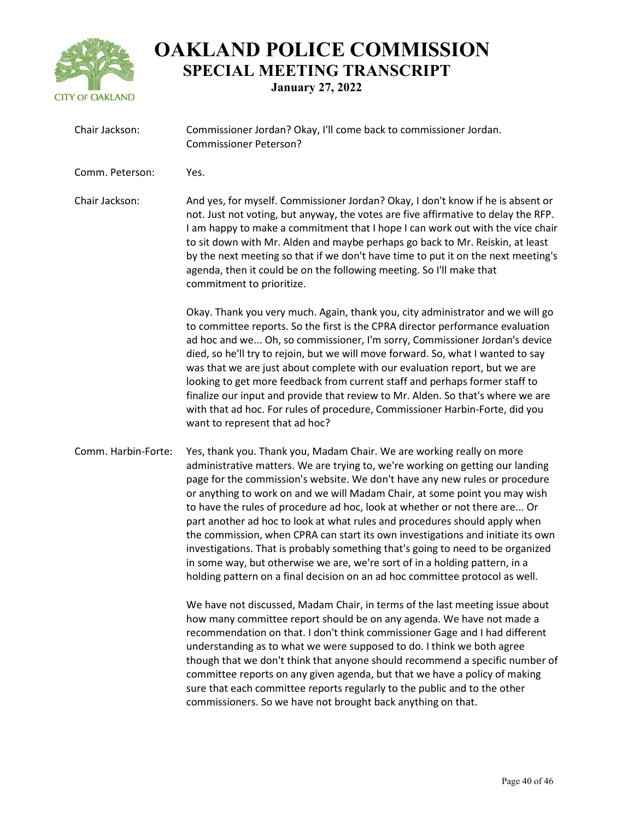

| Chair Jackson:      | Commissioner Jordan? Okay, I'll come back to commissioner Jordan.<br><b>Commissioner Peterson?</b>                                                                                                                                                                                                                                                                                                                                                                                                                                                                                                                                                                                                                                                                                                                    |
|---------------------|-----------------------------------------------------------------------------------------------------------------------------------------------------------------------------------------------------------------------------------------------------------------------------------------------------------------------------------------------------------------------------------------------------------------------------------------------------------------------------------------------------------------------------------------------------------------------------------------------------------------------------------------------------------------------------------------------------------------------------------------------------------------------------------------------------------------------|
| Comm. Peterson:     | Yes.                                                                                                                                                                                                                                                                                                                                                                                                                                                                                                                                                                                                                                                                                                                                                                                                                  |
| Chair Jackson:      | And yes, for myself. Commissioner Jordan? Okay, I don't know if he is absent or<br>not. Just not voting, but anyway, the votes are five affirmative to delay the RFP.<br>I am happy to make a commitment that I hope I can work out with the vice chair<br>to sit down with Mr. Alden and maybe perhaps go back to Mr. Reiskin, at least<br>by the next meeting so that if we don't have time to put it on the next meeting's<br>agenda, then it could be on the following meeting. So I'll make that<br>commitment to prioritize.                                                                                                                                                                                                                                                                                    |
|                     | Okay. Thank you very much. Again, thank you, city administrator and we will go<br>to committee reports. So the first is the CPRA director performance evaluation<br>ad hoc and we Oh, so commissioner, I'm sorry, Commissioner Jordan's device<br>died, so he'll try to rejoin, but we will move forward. So, what I wanted to say<br>was that we are just about complete with our evaluation report, but we are<br>looking to get more feedback from current staff and perhaps former staff to<br>finalize our input and provide that review to Mr. Alden. So that's where we are<br>with that ad hoc. For rules of procedure, Commissioner Harbin-Forte, did you<br>want to represent that ad hoc?                                                                                                                  |
| Comm. Harbin-Forte: | Yes, thank you. Thank you, Madam Chair. We are working really on more<br>administrative matters. We are trying to, we're working on getting our landing<br>page for the commission's website. We don't have any new rules or procedure<br>or anything to work on and we will Madam Chair, at some point you may wish<br>to have the rules of procedure ad hoc, look at whether or not there are Or<br>part another ad hoc to look at what rules and procedures should apply when<br>the commission, when CPRA can start its own investigations and initiate its own<br>investigations. That is probably something that's going to need to be organized<br>in some way, but otherwise we are, we're sort of in a holding pattern, in a<br>holding pattern on a final decision on an ad hoc committee protocol as well. |
|                     | We have not discussed, Madam Chair, in terms of the last meeting issue about<br>how many committee report should be on any agenda. We have not made a<br>recommendation on that. I don't think commissioner Gage and I had different<br>understanding as to what we were supposed to do. I think we both agree<br>though that we don't think that anyone should recommend a specific number of<br>committee reports on any given agenda, but that we have a policy of making<br>sure that each committee reports regularly to the public and to the other<br>commissioners. So we have not brought back anything on that.                                                                                                                                                                                             |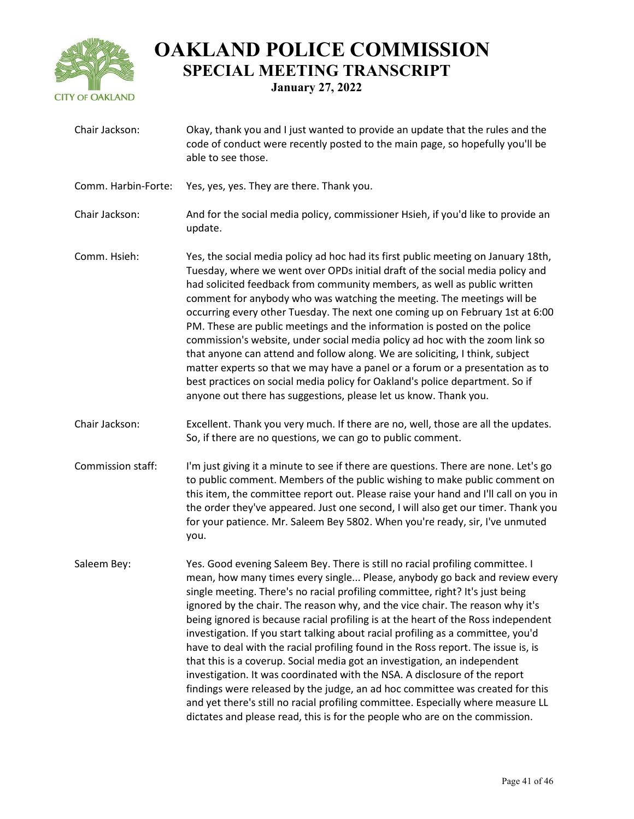

**January 27, 2022**

Chair Jackson: Okay, thank you and I just wanted to provide an update that the rules and the code of conduct were recently posted to the main page, so hopefully you'll be able to see those. Comm. Harbin-Forte: Yes, yes, yes. They are there. Thank you. Chair Jackson: And for the social media policy, commissioner Hsieh, if you'd like to provide an update. Comm. Hsieh: Yes, the social media policy ad hoc had its first public meeting on January 18th, Tuesday, where we went over OPDs initial draft of the social media policy and had solicited feedback from community members, as well as public written comment for anybody who was watching the meeting. The meetings will be occurring every other Tuesday. The next one coming up on February 1st at 6:00 PM. These are public meetings and the information is posted on the police commission's website, under social media policy ad hoc with the zoom link so that anyone can attend and follow along. We are soliciting, I think, subject matter experts so that we may have a panel or a forum or a presentation as to best practices on social media policy for Oakland's police department. So if anyone out there has suggestions, please let us know. Thank you. Chair Jackson: Excellent. Thank you very much. If there are no, well, those are all the updates. So, if there are no questions, we can go to public comment. Commission staff: I'm just giving it a minute to see if there are questions. There are none. Let's go to public comment. Members of the public wishing to make public comment on this item, the committee report out. Please raise your hand and I'll call on you in the order they've appeared. Just one second, I will also get our timer. Thank you for your patience. Mr. Saleem Bey 5802. When you're ready, sir, I've unmuted you. Saleem Bey: Yes. Good evening Saleem Bey. There is still no racial profiling committee. I mean, how many times every single... Please, anybody go back and review every single meeting. There's no racial profiling committee, right? It's just being ignored by the chair. The reason why, and the vice chair. The reason why it's being ignored is because racial profiling is at the heart of the Ross independent investigation. If you start talking about racial profiling as a committee, you'd have to deal with the racial profiling found in the Ross report. The issue is, is that this is a coverup. Social media got an investigation, an independent investigation. It was coordinated with the NSA. A disclosure of the report findings were released by the judge, an ad hoc committee was created for this and yet there's still no racial profiling committee. Especially where measure LL dictates and please read, this is for the people who are on the commission.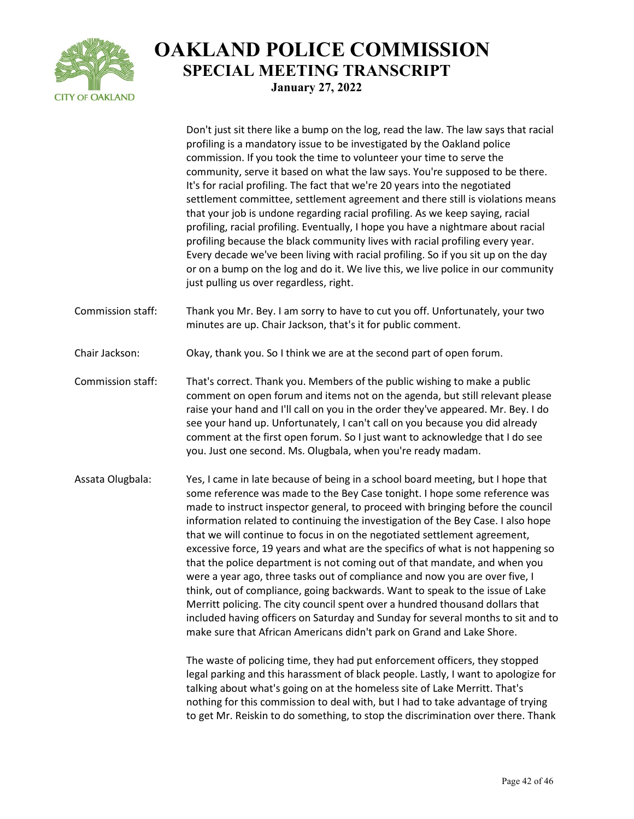

Don't just sit there like a bump on the log, read the law. The law says that racial profiling is a mandatory issue to be investigated by the Oakland police commission. If you took the time to volunteer your time to serve the community, serve it based on what the law says. You're supposed to be there. It's for racial profiling. The fact that we're 20 years into the negotiated settlement committee, settlement agreement and there still is violations means that your job is undone regarding racial profiling. As we keep saying, racial profiling, racial profiling. Eventually, I hope you have a nightmare about racial profiling because the black community lives with racial profiling every year. Every decade we've been living with racial profiling. So if you sit up on the day or on a bump on the log and do it. We live this, we live police in our community just pulling us over regardless, right.

- Commission staff: Thank you Mr. Bey. I am sorry to have to cut you off. Unfortunately, your two minutes are up. Chair Jackson, that's it for public comment.
- Chair Jackson: Okay, thank you. So I think we are at the second part of open forum.
- Commission staff: That's correct. Thank you. Members of the public wishing to make a public comment on open forum and items not on the agenda, but still relevant please raise your hand and I'll call on you in the order they've appeared. Mr. Bey. I do see your hand up. Unfortunately, I can't call on you because you did already comment at the first open forum. So I just want to acknowledge that I do see you. Just one second. Ms. Olugbala, when you're ready madam.
- Assata Olugbala: Yes, I came in late because of being in a school board meeting, but I hope that some reference was made to the Bey Case tonight. I hope some reference was made to instruct inspector general, to proceed with bringing before the council information related to continuing the investigation of the Bey Case. I also hope that we will continue to focus in on the negotiated settlement agreement, excessive force, 19 years and what are the specifics of what is not happening so that the police department is not coming out of that mandate, and when you were a year ago, three tasks out of compliance and now you are over five, I think, out of compliance, going backwards. Want to speak to the issue of Lake Merritt policing. The city council spent over a hundred thousand dollars that included having officers on Saturday and Sunday for several months to sit and to make sure that African Americans didn't park on Grand and Lake Shore.

The waste of policing time, they had put enforcement officers, they stopped legal parking and this harassment of black people. Lastly, I want to apologize for talking about what's going on at the homeless site of Lake Merritt. That's nothing for this commission to deal with, but I had to take advantage of trying to get Mr. Reiskin to do something, to stop the discrimination over there. Thank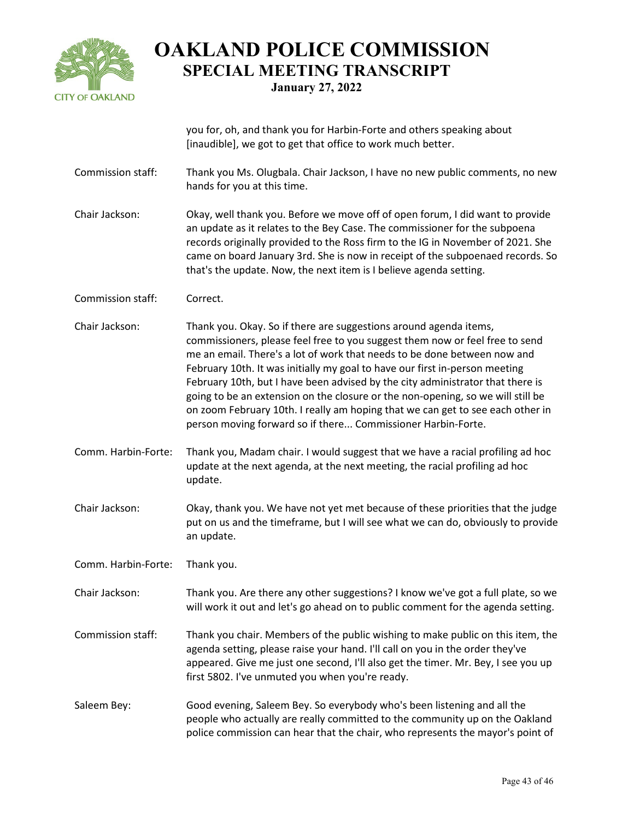

you for, oh, and thank you for Harbin-Forte and others speaking about [inaudible], we got to get that office to work much better.

- Commission staff: Thank you Ms. Olugbala. Chair Jackson, I have no new public comments, no new hands for you at this time.
- Chair Jackson: Okay, well thank you. Before we move off of open forum, I did want to provide an update as it relates to the Bey Case. The commissioner for the subpoena records originally provided to the Ross firm to the IG in November of 2021. She came on board January 3rd. She is now in receipt of the subpoenaed records. So that's the update. Now, the next item is I believe agenda setting.
- Commission staff: Correct.
- Chair Jackson: Thank you. Okay. So if there are suggestions around agenda items, commissioners, please feel free to you suggest them now or feel free to send me an email. There's a lot of work that needs to be done between now and February 10th. It was initially my goal to have our first in-person meeting February 10th, but I have been advised by the city administrator that there is going to be an extension on the closure or the non-opening, so we will still be on zoom February 10th. I really am hoping that we can get to see each other in person moving forward so if there... Commissioner Harbin-Forte.
- Comm. Harbin-Forte: Thank you, Madam chair. I would suggest that we have a racial profiling ad hoc update at the next agenda, at the next meeting, the racial profiling ad hoc update.
- Chair Jackson: Okay, thank you. We have not yet met because of these priorities that the judge put on us and the timeframe, but I will see what we can do, obviously to provide an update.

Comm. Harbin-Forte: Thank you.

- Chair Jackson: Thank you. Are there any other suggestions? I know we've got a full plate, so we will work it out and let's go ahead on to public comment for the agenda setting.
- Commission staff: Thank you chair. Members of the public wishing to make public on this item, the agenda setting, please raise your hand. I'll call on you in the order they've appeared. Give me just one second, I'll also get the timer. Mr. Bey, I see you up first 5802. I've unmuted you when you're ready.
- Saleem Bey: Good evening, Saleem Bey. So everybody who's been listening and all the people who actually are really committed to the community up on the Oakland police commission can hear that the chair, who represents the mayor's point of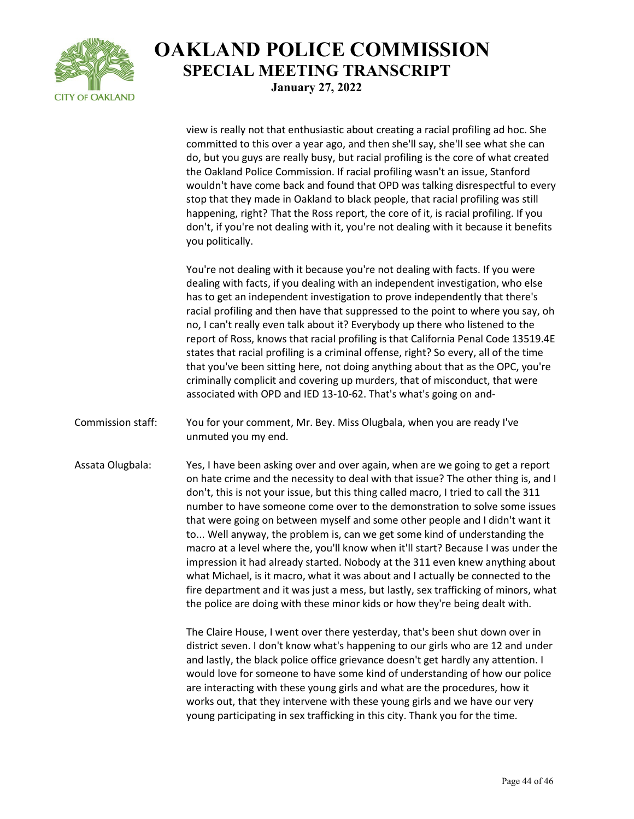

view is really not that enthusiastic about creating a racial profiling ad hoc. She committed to this over a year ago, and then she'll say, she'll see what she can do, but you guys are really busy, but racial profiling is the core of what created the Oakland Police Commission. If racial profiling wasn't an issue, Stanford wouldn't have come back and found that OPD was talking disrespectful to every stop that they made in Oakland to black people, that racial profiling was still happening, right? That the Ross report, the core of it, is racial profiling. If you don't, if you're not dealing with it, you're not dealing with it because it benefits you politically.

You're not dealing with it because you're not dealing with facts. If you were dealing with facts, if you dealing with an independent investigation, who else has to get an independent investigation to prove independently that there's racial profiling and then have that suppressed to the point to where you say, oh no, I can't really even talk about it? Everybody up there who listened to the report of Ross, knows that racial profiling is that California Penal Code 13519.4E states that racial profiling is a criminal offense, right? So every, all of the time that you've been sitting here, not doing anything about that as the OPC, you're criminally complicit and covering up murders, that of misconduct, that were associated with OPD and IED 13-10-62. That's what's going on and-

- Commission staff: You for your comment, Mr. Bey. Miss Olugbala, when you are ready I've unmuted you my end.
- Assata Olugbala: Yes, I have been asking over and over again, when are we going to get a report on hate crime and the necessity to deal with that issue? The other thing is, and I don't, this is not your issue, but this thing called macro, I tried to call the 311 number to have someone come over to the demonstration to solve some issues that were going on between myself and some other people and I didn't want it to... Well anyway, the problem is, can we get some kind of understanding the macro at a level where the, you'll know when it'll start? Because I was under the impression it had already started. Nobody at the 311 even knew anything about what Michael, is it macro, what it was about and I actually be connected to the fire department and it was just a mess, but lastly, sex trafficking of minors, what the police are doing with these minor kids or how they're being dealt with.

The Claire House, I went over there yesterday, that's been shut down over in district seven. I don't know what's happening to our girls who are 12 and under and lastly, the black police office grievance doesn't get hardly any attention. I would love for someone to have some kind of understanding of how our police are interacting with these young girls and what are the procedures, how it works out, that they intervene with these young girls and we have our very young participating in sex trafficking in this city. Thank you for the time.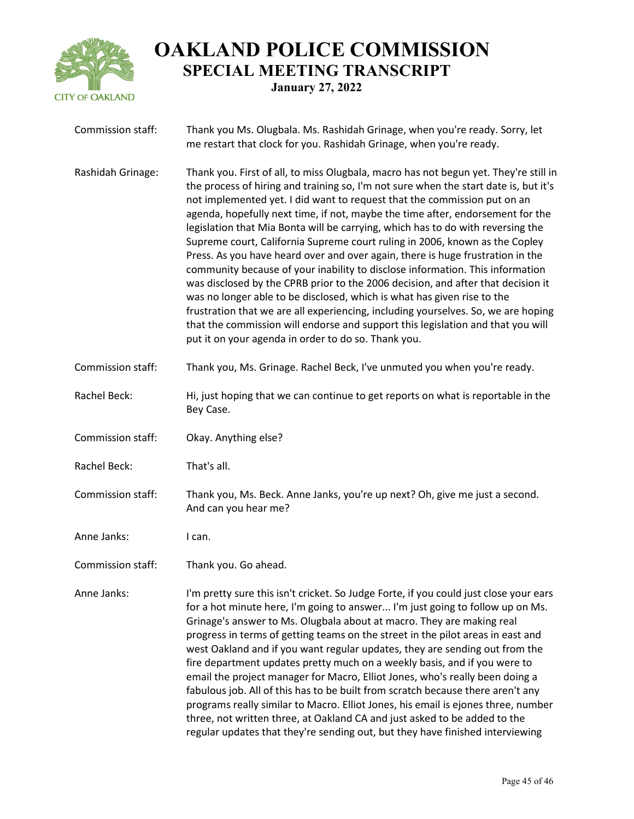

| Commission staff: | Thank you Ms. Olugbala. Ms. Rashidah Grinage, when you're ready. Sorry, let<br>me restart that clock for you. Rashidah Grinage, when you're ready.                                                                                                                                                                                                                                                                                                                                                                                                                                                                                                                                                                                                                                                                                                                                                                                                                                                                                                                            |
|-------------------|-------------------------------------------------------------------------------------------------------------------------------------------------------------------------------------------------------------------------------------------------------------------------------------------------------------------------------------------------------------------------------------------------------------------------------------------------------------------------------------------------------------------------------------------------------------------------------------------------------------------------------------------------------------------------------------------------------------------------------------------------------------------------------------------------------------------------------------------------------------------------------------------------------------------------------------------------------------------------------------------------------------------------------------------------------------------------------|
| Rashidah Grinage: | Thank you. First of all, to miss Olugbala, macro has not begun yet. They're still in<br>the process of hiring and training so, I'm not sure when the start date is, but it's<br>not implemented yet. I did want to request that the commission put on an<br>agenda, hopefully next time, if not, maybe the time after, endorsement for the<br>legislation that Mia Bonta will be carrying, which has to do with reversing the<br>Supreme court, California Supreme court ruling in 2006, known as the Copley<br>Press. As you have heard over and over again, there is huge frustration in the<br>community because of your inability to disclose information. This information<br>was disclosed by the CPRB prior to the 2006 decision, and after that decision it<br>was no longer able to be disclosed, which is what has given rise to the<br>frustration that we are all experiencing, including yourselves. So, we are hoping<br>that the commission will endorse and support this legislation and that you will<br>put it on your agenda in order to do so. Thank you. |
| Commission staff: | Thank you, Ms. Grinage. Rachel Beck, I've unmuted you when you're ready.                                                                                                                                                                                                                                                                                                                                                                                                                                                                                                                                                                                                                                                                                                                                                                                                                                                                                                                                                                                                      |
| Rachel Beck:      | Hi, just hoping that we can continue to get reports on what is reportable in the<br>Bey Case.                                                                                                                                                                                                                                                                                                                                                                                                                                                                                                                                                                                                                                                                                                                                                                                                                                                                                                                                                                                 |
| Commission staff: | Okay. Anything else?                                                                                                                                                                                                                                                                                                                                                                                                                                                                                                                                                                                                                                                                                                                                                                                                                                                                                                                                                                                                                                                          |
| Rachel Beck:      | That's all.                                                                                                                                                                                                                                                                                                                                                                                                                                                                                                                                                                                                                                                                                                                                                                                                                                                                                                                                                                                                                                                                   |
| Commission staff: | Thank you, Ms. Beck. Anne Janks, you're up next? Oh, give me just a second.<br>And can you hear me?                                                                                                                                                                                                                                                                                                                                                                                                                                                                                                                                                                                                                                                                                                                                                                                                                                                                                                                                                                           |
| Anne Janks:       | I can.                                                                                                                                                                                                                                                                                                                                                                                                                                                                                                                                                                                                                                                                                                                                                                                                                                                                                                                                                                                                                                                                        |
| Commission staff: | Thank you. Go ahead.                                                                                                                                                                                                                                                                                                                                                                                                                                                                                                                                                                                                                                                                                                                                                                                                                                                                                                                                                                                                                                                          |
| Anne Janks:       | I'm pretty sure this isn't cricket. So Judge Forte, if you could just close your ears<br>for a hot minute here, I'm going to answer I'm just going to follow up on Ms.<br>Grinage's answer to Ms. Olugbala about at macro. They are making real<br>progress in terms of getting teams on the street in the pilot areas in east and<br>west Oakland and if you want regular updates, they are sending out from the<br>fire department updates pretty much on a weekly basis, and if you were to<br>email the project manager for Macro, Elliot Jones, who's really been doing a<br>fabulous job. All of this has to be built from scratch because there aren't any<br>programs really similar to Macro. Elliot Jones, his email is ejones three, number<br>three, not written three, at Oakland CA and just asked to be added to the<br>regular updates that they're sending out, but they have finished interviewing                                                                                                                                                          |